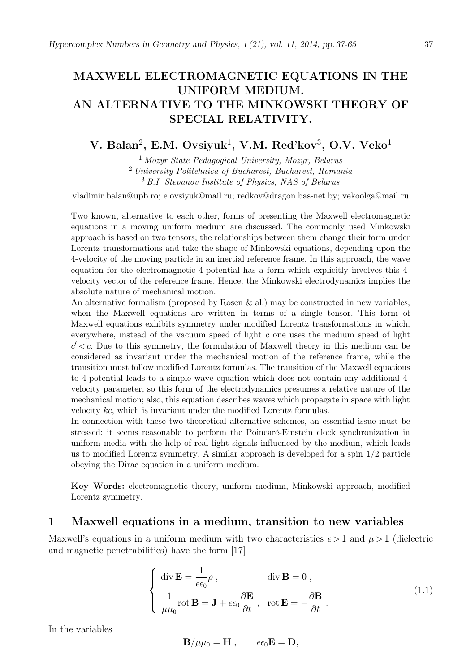# MAXWELL ELECTROMAGNETIC EQUATIONS IN THE UNIFORM MEDIUM. AN ALTERNATIVE TO THE MINKOWSKI THEORY OF SPECIAL RELATIVITY.

## V. Balan<sup>2</sup>, E.M. Ovsiyuk<sup>1</sup>, V.M. Red'kov<sup>3</sup>, O.V. Veko<sup>1</sup>

<sup>1</sup> Mozyr State Pedagogical University, Mozyr, Belarus <sup>2</sup> University Politehnica of Bucharest, Bucharest, Romania <sup>3</sup> B.I. Stepanov Institute of Physics, NAS of Belarus

vladimir.balan@upb.ro; e.ovsiyuk@mail.ru; redkov@dragon.bas-net.by; vekoolga@mail.ru

Two known, alternative to each other, forms of presenting the Maxwell electromagnetic equations in a moving uniform medium are discussed. The commonly used Minkowski approach is based on two tensors; the relationships between them change their form under Lorentz transformations and take the shape of Minkowski equations, depending upon the 4-velocity of the moving particle in an inertial reference frame. In this approach, the wave equation for the electromagnetic 4-potential has a form which explicitly involves this 4 velocity vector of the reference frame. Hence, the Minkowski electrodynamics implies the absolute nature of mechanical motion.

An alternative formalism (proposed by Rosen  $\&$  al.) may be constructed in new variables, when the Maxwell equations are written in terms of a single tensor. This form of Maxwell equations exhibits symmetry under modified Lorentz transformations in which, everywhere, instead of the vacuum speed of light  $c$  one uses the medium speed of light  $c' < c$ . Due to this symmetry, the formulation of Maxwell theory in this medium can be considered as invariant under the mechanical motion of the reference frame, while the transition must follow modified Lorentz formulas. The transition of the Maxwell equations to 4-potential leads to a simple wave equation which does not contain any additional 4 velocity parameter, so this form of the electrodynamics presumes a relative nature of the mechanical motion; also, this equation describes waves which propagate in space with light velocity kc, which is invariant under the modified Lorentz formulas.

In connection with these two theoretical alternative schemes, an essential issue must be stressed: it seems reasonable to perform the Poincaré-Einstein clock synchronization in uniform media with the help of real light signals influenced by the medium, which leads us to modified Lorentz symmetry. A similar approach is developed for a spin 1/2 particle obeying the Dirac equation in a uniform medium.

Key Words: electromagnetic theory, uniform medium, Minkowski approach, modified Lorentz symmetry.

### 1 Maxwell equations in a medium, transition to new variables

Maxwell's equations in a uniform medium with two characteristics  $\epsilon > 1$  and  $\mu > 1$  (dielectric and magnetic penetrabilities) have the form [17]

$$
\begin{cases} \operatorname{div} \mathbf{E} = \frac{1}{\epsilon \epsilon_0} \rho, & \operatorname{div} \mathbf{B} = 0, \\ \frac{1}{\mu \mu_0} \operatorname{rot} \mathbf{B} = \mathbf{J} + \epsilon \epsilon_0 \frac{\partial \mathbf{E}}{\partial t}, & \operatorname{rot} \mathbf{E} = -\frac{\partial \mathbf{B}}{\partial t}. \end{cases}
$$
(1.1)

In the variables

$$
{\bf B}/\mu\mu_0={\bf H}\ ,\qquad \epsilon\epsilon_0{\bf E}={\bf D},
$$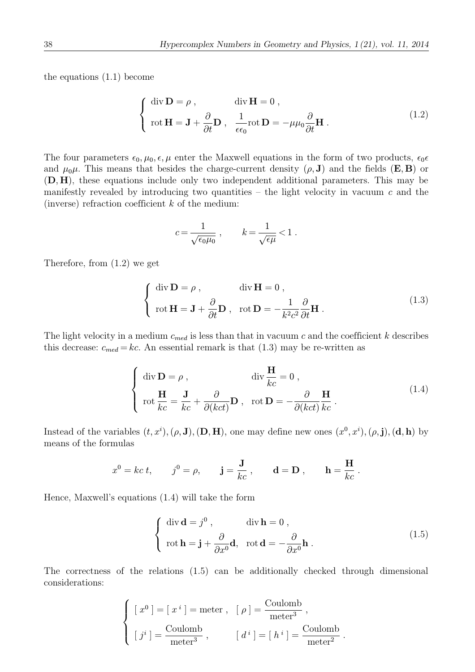the equations (1.1) become

$$
\begin{cases} \operatorname{div} \mathbf{D} = \rho, & \operatorname{div} \mathbf{H} = 0, \\ \operatorname{rot} \mathbf{H} = \mathbf{J} + \frac{\partial}{\partial t} \mathbf{D}, & \frac{1}{\epsilon \epsilon_0} \operatorname{rot} \mathbf{D} = -\mu \mu_0 \frac{\partial}{\partial t} \mathbf{H}. \end{cases}
$$
(1.2)

The four parameters  $\epsilon_0, \mu_0, \epsilon, \mu$  enter the Maxwell equations in the form of two products,  $\epsilon_0 \epsilon$ and  $\mu_0\mu$ . This means that besides the charge-current density  $(\rho, J)$  and the fields  $(E, B)$  or (D, H), these equations include only two independent additional parameters. This may be manifestly revealed by introducing two quantities – the light velocity in vacuum  $c$  and the (inverse) refraction coefficient  $k$  of the medium:

$$
c = \frac{1}{\sqrt{\epsilon_0 \mu_0}} \ , \qquad k = \frac{1}{\sqrt{\epsilon \mu}} < 1 \ .
$$

Therefore, from (1.2) we get

$$
\begin{cases} \operatorname{div} \mathbf{D} = \rho, & \operatorname{div} \mathbf{H} = 0, \\ \operatorname{rot} \mathbf{H} = \mathbf{J} + \frac{\partial}{\partial t} \mathbf{D}, & \operatorname{rot} \mathbf{D} = -\frac{1}{k^2 c^2} \frac{\partial}{\partial t} \mathbf{H}. \end{cases}
$$
(1.3)

The light velocity in a medium  $c_{med}$  is less than that in vacuum c and the coefficient k describes this decrease:  $c_{med} = kc$ . An essential remark is that (1.3) may be re-written as

$$
\begin{cases} \operatorname{div} \mathbf{D} = \rho, & \operatorname{div} \frac{\mathbf{H}}{kc} = 0, \\ \operatorname{rot} \frac{\mathbf{H}}{kc} = \frac{\mathbf{J}}{kc} + \frac{\partial}{\partial (kct)} \mathbf{D}, & \operatorname{rot} \mathbf{D} = -\frac{\partial}{\partial (kct)} \frac{\mathbf{H}}{kc}. \end{cases}
$$
(1.4)

Instead of the variables  $(t, x^i)$ ,  $(\rho, J)$ ,  $(D, H)$ , one may define new ones  $(x^0, x^i)$ ,  $(\rho, j)$ ,  $(d, h)$  by means of the formulas

$$
x^0 = kc t
$$
,  $j^0 = \rho$ ,  $\mathbf{j} = \frac{\mathbf{J}}{kc}$ ,  $\mathbf{d} = \mathbf{D}$ ,  $\mathbf{h} = \frac{\mathbf{H}}{kc}$ .

Hence, Maxwell's equations (1.4) will take the form

$$
\begin{cases} \operatorname{div} \mathbf{d} = j^0, & \operatorname{div} \mathbf{h} = 0, \\ \operatorname{rot} \mathbf{h} = \mathbf{j} + \frac{\partial}{\partial x^0} \mathbf{d}, & \operatorname{rot} \mathbf{d} = -\frac{\partial}{\partial x^0} \mathbf{h}. \end{cases}
$$
(1.5)

The correctness of the relations (1.5) can be additionally checked through dimensional considerations:

$$
\begin{cases}\n\left[x^0\right] = \left[x^i\right] = \text{meter} , & \left[\rho\right] = \frac{\text{Coulomb}}{\text{meter}^3} ,\\ \n\left[j^i\right] = \frac{\text{Coulomb}}{\text{meter}^3} , & \left[\right.d^i\right] = \left[\right.h^i\right] = \frac{\text{Coulomb}}{\text{meter}^2} .\n\end{cases}
$$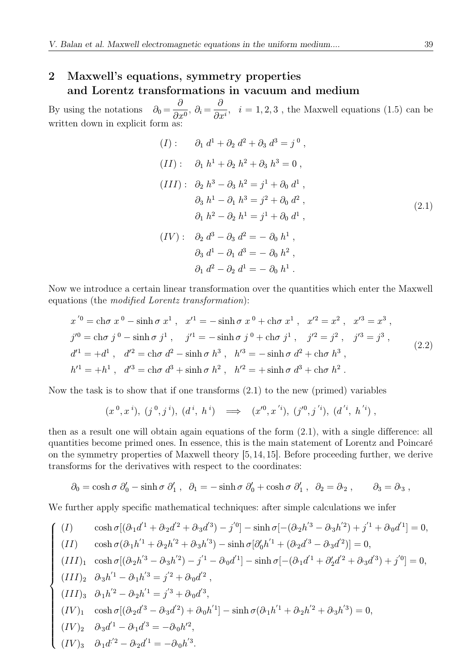## 2 Maxwell's equations, symmetry properties and Lorentz transformations in vacuum and medium

By using the notations  $\partial_0 = \frac{\partial}{\partial x^0}$ ,  $\partial_i = \frac{\partial}{\partial x^i}$ ,  $i = 1, 2, 3$ , the Maxwell equations (1.5) can be written down in explicit form as

$$
(I): \partial_1 d^1 + \partial_2 d^2 + \partial_3 d^3 = j^0,
$$
  
\n
$$
(II): \partial_1 h^1 + \partial_2 h^2 + \partial_3 h^3 = 0,
$$
  
\n
$$
(III): \partial_2 h^3 - \partial_3 h^2 = j^1 + \partial_0 d^1,
$$
  
\n
$$
\partial_3 h^1 - \partial_1 h^3 = j^2 + \partial_0 d^2,
$$
  
\n
$$
\partial_1 h^2 - \partial_2 h^1 = j^1 + \partial_0 d^1,
$$
  
\n
$$
(IV): \partial_2 d^3 - \partial_3 d^2 = -\partial_0 h^1,
$$
  
\n
$$
\partial_3 d^1 - \partial_1 d^3 = -\partial_0 h^2,
$$
  
\n
$$
\partial_1 d^2 - \partial_2 d^1 = -\partial_0 h^1.
$$
 (2.1)

Now we introduce a certain linear transformation over the quantities which enter the Maxwell equations (the modified Lorentz transformation):

$$
x^{'0} = \text{ch}\sigma x^{0} - \sinh\sigma x^{1}, \quad x'^{1} = -\sinh\sigma x^{0} + \text{ch}\sigma x^{1}, \quad x'^{2} = x^{2}, \quad x'^{3} = x^{3},
$$
  
\n
$$
j'^{0} = \text{ch}\sigma j^{0} - \sinh\sigma j^{1}, \quad j'^{1} = -\sinh\sigma j^{0} + \text{ch}\sigma j^{1}, \quad j'^{2} = j^{2}, \quad j'^{3} = j^{3},
$$
  
\n
$$
d'^{1} = +d^{1}, \quad d'^{2} = \text{ch}\sigma d^{2} - \sinh\sigma h^{3}, \quad h'^{3} = -\sinh\sigma d^{2} + \text{ch}\sigma h^{3},
$$
  
\n
$$
h'^{1} = +h^{1}, \quad d'^{3} = \text{ch}\sigma d^{3} + \sinh\sigma h^{2}, \quad h'^{2} = +\sinh\sigma d^{3} + \text{ch}\sigma h^{2}.
$$
\n(2.2)

Now the task is to show that if one transforms (2.1) to the new (primed) variables

$$
(x^0, x^i), (j^0, j^i), (d^i, h^i) \implies (x'^0, x'^i), (j'^0, j'^i), (d'^i, h'^i),
$$

then as a result one will obtain again equations of the form (2.1), with a single difference: all quantities become primed ones. In essence, this is the main statement of Lorentz and Poincaré on the symmetry properties of Maxwell theory [5, 14, 15]. Before proceeding further, we derive transforms for the derivatives with respect to the coordinates:

$$
\partial_0 = \cosh \sigma \; \partial_0' - \sinh \sigma \; \partial_1', \quad \partial_1 = -\sinh \sigma \; \partial_0' + \cosh \sigma \; \partial_1', \quad \partial_2 = \partial_2', \qquad \partial_3 = \partial_3,
$$

We further apply specific mathematical techniques: after simple calculations we infer

$$
\begin{cases}\n(I) & \cosh \sigma [(\partial_{1}d^{1} + \partial_{2}d^{2} + \partial_{3}d^{3}) - j'{}^{0}] - \sinh \sigma [-(\partial_{2}h^{3} - \partial_{3}h^{2}) + j'{}^{1} + \partial_{0}d'{}^{1}] = 0, \\
(II) & \cosh \sigma (\partial_{1}h^{1} + \partial_{2}h^{2} + \partial_{3}h^{3}) - \sinh \sigma [\partial_{0}'h^{1} + (\partial_{2}d^{3} - \partial_{3}d^{2})] = 0, \\
(III)_{1} & \cosh \sigma [(\partial_{2}h^{3} - \partial_{3}h^{2}) - j'{}^{1} - \partial_{0}d'{}^{1}] - \sinh \sigma [-(\partial_{1}d^{1} + \partial_{2}'d^{2} + \partial_{3}d^{3}) + j'{}^{0}] = 0, \\
(III)_{2} & \partial_{3}h^{1}{}^{1} - \partial_{1}h^{3} = j'{}^{2} + \partial_{0}d^{2} , \\
(III)_{3} & \partial_{1}h^{2} - \partial_{2}h^{1} = j'{}^{3} + \partial_{0}d^{3} , \\
(IV)_{1} & \cosh \sigma [(\partial_{2}d^{3} - \partial_{3}d^{2}) + \partial_{0}h^{1}] - \sinh \sigma (\partial_{1}h^{1} + \partial_{2}h^{2} + \partial_{3}h^{3}) = 0, \\
(IV)_{2} & \partial_{3}d^{1} - \partial_{1}d^{3} = -\partial_{0}h^{2} , \\
(IV)_{3} & \partial_{1}d^{2} - \partial_{2}d^{1} = -\partial_{0}h^{3} .\n\end{cases}
$$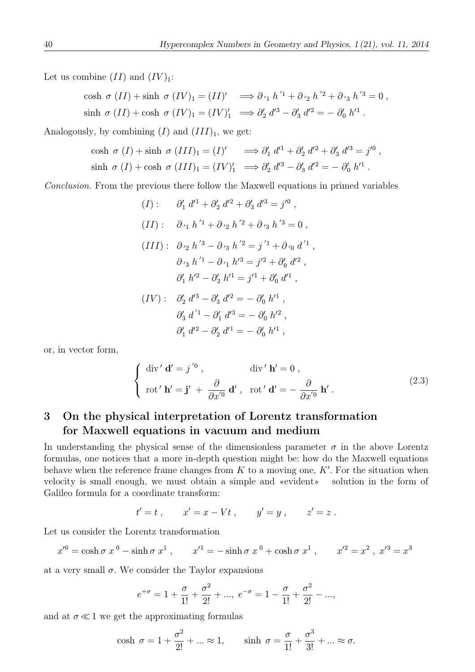Let us combine  $(II)$  and  $(IV)_1$ :

$$
\cosh \sigma (II) + \sinh \sigma (IV)_1 = (II)' \implies \partial_{11} h'^1 + \partial_{12} h'^2 + \partial_{13} h'^3 = 0,
$$
  

$$
\sinh \sigma (II) + \cosh \sigma (IV)_1 = (IV)'_1 \implies \partial'_2 d'^3 - \partial'_3 d'^2 = -\partial'_0 h'^1.
$$

Analogously, by combining  $(I)$  and  $(III)_1$ , we get:

$$
\cosh \sigma (I) + \sinh \sigma (III)_1 = (I)' \implies \partial'_1 d'^1 + \partial'_2 d'^2 + \partial'_3 d'^3 = j'^0 ,
$$
  

$$
\sinh \sigma (I) + \cosh \sigma (III)_1 = (IV)'_1 \implies \partial'_2 d'^3 - \partial'_3 d'^2 = - \partial'_0 h'^1 .
$$

Conclusion. From the previous there follow the Maxwell equations in primed variables

$$
(I): \partial'_1 d'^1 + \partial'_2 d'^2 + \partial'_3 d'^3 = j'^0,
$$
  
\n
$$
(II): \partial_{r_1} h'^1 + \partial_{r_2} h'^2 + \partial_{r_3} h'^3 = 0,
$$
  
\n
$$
(III): \partial_{r_2} h'^3 - \partial_{r_3} h'^2 = j'^1 + \partial_{r_0} d'^1,
$$
  
\n
$$
\partial_{r_3} h'^1 - \partial_{r_1} h'^3 = j'^2 + \partial'_0 d'^2,
$$
  
\n
$$
\partial'_1 h'^2 - \partial'_2 h'^1 = j'^1 + \partial'_0 d'^1,
$$
  
\n
$$
(IV): \partial'_2 d'^3 - \partial'_3 d'^2 = -\partial'_0 h'^1,
$$
  
\n
$$
\partial'_3 d'^1 - \partial'_1 d'^3 = -\partial'_0 h'^2,
$$
  
\n
$$
\partial'_1 d'^2 - \partial'_2 d'^1 = -\partial'_0 h'^1,
$$

or, in vector form,

$$
\begin{cases} \operatorname{div}' \mathbf{d}' = j^{'0}, & \operatorname{div}' \mathbf{h}' = 0, \\ \operatorname{rot}' \mathbf{h}' = \mathbf{j}' + \frac{\partial}{\partial x^{'0}} \mathbf{d}', & \operatorname{rot}' \mathbf{d}' = -\frac{\partial}{\partial x^{'0}} \mathbf{h}'. \end{cases}
$$
(2.3)

## 3 On the physical interpretation of Lorentz transformation for Maxwell equations in vacuum and medium

In understanding the physical sense of the dimensionless parameter  $\sigma$  in the above Lorentz formulas, one notices that a more in-depth question might be: how do the Maxwell equations behave when the reference frame changes from  $K$  to a moving one,  $K'$ . For the situation when velocity is small enough, we must obtain a simple and «evident» solution in the form of Galileo formula for a coordinate transform:

$$
t' = t
$$
,  $x' = x - Vt$ ,  $y' = y$ ,  $z' = z$ .

Let us consider the Lorentz transformation

$$
x'^0 = \cosh \sigma \ x^0 - \sinh \sigma \ x^1 \ , \qquad x'^1 = -\sinh \sigma \ x^0 + \cosh \sigma \ x^1 \ , \qquad x'^2 = x^2 \ , \ x'^3 = x^3
$$

at a very small  $\sigma$ . We consider the Taylor expansions

$$
e^{+\sigma} = 1 + \frac{\sigma}{1!} + \frac{\sigma^2}{2!} + \dots
$$
,  $e^{-\sigma} = 1 - \frac{\sigma}{1!} + \frac{\sigma^2}{2!} - \dots$ ,

and at  $\sigma \ll 1$  we get the approximating formulas

$$
\cosh \sigma = 1 + \frac{\sigma^2}{2!} + \dots \approx 1, \qquad \sinh \sigma = \frac{\sigma}{1!} + \frac{\sigma^3}{3!} + \dots \approx \sigma.
$$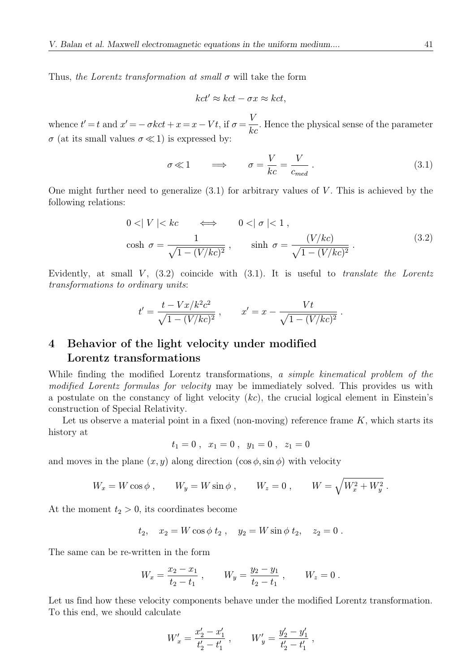Thus, the Lorentz transformation at small  $\sigma$  will take the form

$$
kct' \approx kct - \sigma x \approx kct,
$$

whence  $t' = t$  and  $x' = -\sigma kct + x = x - Vt$ , if  $\sigma = \frac{V}{kc}$ . Hence the physical sense of the parameter  $\sigma$  (at its small values  $\sigma \ll 1$ ) is expressed by:

$$
\sigma \ll 1 \qquad \Longrightarrow \qquad \sigma = \frac{V}{kc} = \frac{V}{c_{med}} \,. \tag{3.1}
$$

One might further need to generalize  $(3.1)$  for arbitrary values of V. This is achieved by the following relations:

$$
0 < |V| < kc \qquad \Longleftrightarrow \qquad 0 < |\sigma| < 1,
$$
  
\n
$$
\cosh \sigma = \frac{1}{\sqrt{1 - (V/kc)^2}}, \qquad \sinh \sigma = \frac{(V/kc)}{\sqrt{1 - (V/kc)^2}}.
$$
\n(3.2)

Evidently, at small  $V$ ,  $(3.2)$  coincide with  $(3.1)$ . It is useful to *translate the Lorentz* transformations to ordinary units:

$$
t' = \frac{t - Vx/k^2c^2}{\sqrt{1 - (V/kc)^2}}, \qquad x' = x - \frac{Vt}{\sqrt{1 - (V/kc)^2}}.
$$

### 4 Behavior of the light velocity under modified Lorentz transformations

While finding the modified Lorentz transformations, a simple kinematical problem of the modified Lorentz formulas for velocity may be immediately solved. This provides us with a postulate on the constancy of light velocity  $(kc)$ , the crucial logical element in Einstein's construction of Special Relativity.

Let us observe a material point in a fixed (non-moving) reference frame  $K$ , which starts its history at

$$
t_1=0\;,\;\;x_1=0\;,\;\;y_1=0\;,\;\;z_1=0
$$

and moves in the plane  $(x, y)$  along direction  $(\cos \phi, \sin \phi)$  with velocity

$$
W_x = W \cos \phi , \qquad W_y = W \sin \phi , \qquad W_z = 0 , \qquad W = \sqrt{W_x^2 + W_y^2} .
$$

At the moment  $t_2 > 0$ , its coordinates become

$$
t_2
$$
,  $x_2 = W \cos \phi t_2$ ,  $y_2 = W \sin \phi t_2$ ,  $z_2 = 0$ .

The same can be re-written in the form

$$
W_x = \frac{x_2 - x_1}{t_2 - t_1} , \qquad W_y = \frac{y_2 - y_1}{t_2 - t_1} , \qquad W_z = 0 .
$$

Let us find how these velocity components behave under the modified Lorentz transformation. To this end, we should calculate

$$
W'_x = \frac{x'_2 - x'_1}{t'_2 - t'_1} , \qquad W'_y = \frac{y'_2 - y'_1}{t'_2 - t'_1} ,
$$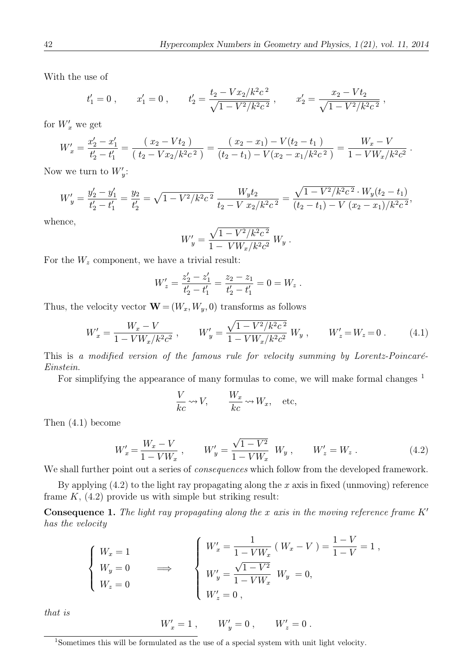With the use of

$$
t'_1 = 0
$$
,  $x'_1 = 0$ ,  $t'_2 = \frac{t_2 - Vx_2/k^2c^2}{\sqrt{1 - V^2/k^2c^2}}$ ,  $x'_2 = \frac{x_2 - Vt_2}{\sqrt{1 - V^2/k^2c^2}}$ ,

for  $W'_x$  we get

$$
W'_x = \frac{x'_2 - x'_1}{t'_2 - t'_1} = \frac{(x_2 - Vt_2)}{(t_2 - Vx_2/k^2c^2)} = \frac{(x_2 - x_1) - V(t_2 - t_1)}{(t_2 - t_1) - V(x_2 - x_1/k^2c^2)} = \frac{W_x - V}{1 - VW_x/k^2c^2}.
$$

Now we turn to  $W'_y$ :

$$
W'_y = \frac{y'_2 - y'_1}{t'_2 - t'_1} = \frac{y_2}{t'_2} = \sqrt{1 - V^2/k^2c^2} \frac{W_y t_2}{t_2 - V x_2/k^2c^2} = \frac{\sqrt{1 - V^2/k^2c^2} \cdot W_y (t_2 - t_1)}{(t_2 - t_1) - V (x_2 - x_1)/k^2c^2},
$$

whence,

$$
W'_y = \frac{\sqrt{1 - V^2/k^2c^2}}{1 - VW_x/k^2c^2} W_y.
$$

For the  $W_z$  component, we have a trivial result:

$$
W'_{z} = \frac{z'_2 - z'_1}{t'_2 - t'_1} = \frac{z_2 - z_1}{t'_2 - t'_1} = 0 = W_z.
$$

Thus, the velocity vector  $\mathbf{W} = (W_x, W_y, 0)$  transforms as follows

$$
W'_x = \frac{W_x - V}{1 - V W_x / k^2 c^2} , \qquad W'_y = \frac{\sqrt{1 - V^2 / k^2 c^2}}{1 - V W_x / k^2 c^2} W_y , \qquad W'_z = W_z = 0 . \tag{4.1}
$$

This is a modified version of the famous rule for velocity summing by Lorentz-Poincaré-Einstein.

For simplifying the appearance of many formulas to come, we will make formal changes <sup>1</sup>

$$
\frac{V}{kc} \rightsquigarrow V, \qquad \frac{W_x}{kc} \rightsquigarrow W_x, \quad \text{etc},
$$

Then (4.1) become

$$
W'_x = \frac{W_x - V}{1 - VW_x} , \qquad W'_y = \frac{\sqrt{1 - V^2}}{1 - VW_x} W_y , \qquad W'_z = W_z .
$$
 (4.2)

We shall further point out a series of *consequences* which follow from the developed framework.

By applying  $(4.2)$  to the light ray propagating along the x axis in fixed (unmoving) reference frame  $K$ ,  $(4.2)$  provide us with simple but striking result:

**Consequence 1.** The light ray propagating along the x axis in the moving reference frame  $K'$ has the velocity

$$
\begin{cases}\nW_x = 1 \\
W_y = 0 \\
W_z = 0\n\end{cases}\n\implies\n\begin{cases}\nW_x' = \frac{1}{1 - VW_x} (W_x - V) = \frac{1 - V}{1 - V} = 1, \\
W_y' = \frac{\sqrt{1 - V^2}}{1 - VW_x} W_y = 0, \\
W_z' = 0,\n\end{cases}
$$

that is

$$
W'_x = 1 \; , \qquad W'_y = 0 \; , \qquad W'_z = 0 \; .
$$

<sup>1</sup>Sometimes this will be formulated as the use of a special system with unit light velocity.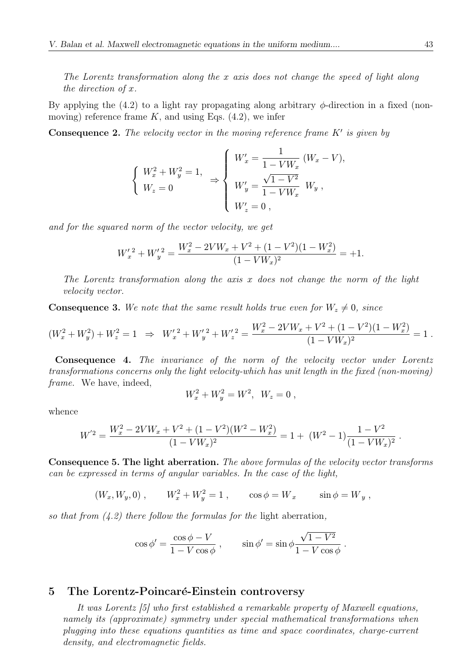The Lorentz transformation along the x axis does not change the speed of light along the direction of x.

By applying the  $(4.2)$  to a light ray propagating along arbitrary  $\phi$ -direction in a fixed (nonmoving) reference frame  $K$ , and using Eqs.  $(4.2)$ , we infer

**Consequence 2.** The velocity vector in the moving reference frame  $K'$  is given by

$$
\begin{cases}\nW_x^2 + W_y^2 = 1, \\
W_z = 0\n\end{cases} \Rightarrow \begin{cases}\nW_x' = \frac{1}{1 - VW_x} (W_x - V), \\
W_y' = \frac{\sqrt{1 - V^2}}{1 - VW_x} W_y, \\
W_z' = 0,\n\end{cases}
$$

and for the squared norm of the vector velocity, we get

$$
W'_x{}^2 + W'_y{}^2 = \frac{W_x^2 - 2VW_x + V^2 + (1 - V^2)(1 - W_x^2)}{(1 - VW_x)^2} = +1.
$$

The Lorentz transformation along the axis  $x$  does not change the norm of the light velocity vector.

**Consequence 3.** We note that the same result holds true even for  $W_z \neq 0$ , since

$$
(W_x^2 + W_y^2) + W_z^2 = 1 \Rightarrow W_x'^2 + W_y'^2 + W_z'^2 = \frac{W_x^2 - 2VW_x + V^2 + (1 - V^2)(1 - W_x^2)}{(1 - VW_x)^2} = 1.
$$

Consequence 4. The invariance of the norm of the velocity vector under Lorentz transformations concerns only the light velocity-which has unit length in the fixed (non-moving) frame. We have, indeed,

$$
W_x^2 + W_y^2 = W^2, \ \ W_z = 0 \ ,
$$

whence

$$
W^{'2} = \frac{W_x^2 - 2VW_x + V^2 + (1 - V^2)(W^2 - W_x^2)}{(1 - VW_x)^2} = 1 + (W^2 - 1)\frac{1 - V^2}{(1 - VW_x)^2}.
$$

Consequence 5. The light aberration. The above formulas of the velocity vector transforms can be expressed in terms of angular variables. In the case of the light,

 $(W_x, W_y, 0)$ ,  $W_x^2 + W_y^2 = 1$ ,  $\cos \phi = W_x$   $\sin \phi = W_y$ ,

so that from  $(4.2)$  there follow the formulas for the light aberration,

$$
\cos \phi' = \frac{\cos \phi - V}{1 - V \cos \phi} , \qquad \sin \phi' = \sin \phi \frac{\sqrt{1 - V^2}}{1 - V \cos \phi} .
$$

#### 5 The Lorentz-Poincaré-Einstein controversy

It was Lorentz [5] who first established a remarkable property of Maxwell equations, namely its (approximate) symmetry under special mathematical transformations when plugging into these equations quantities as time and space coordinates, charge-current density, and electromagnetic fields.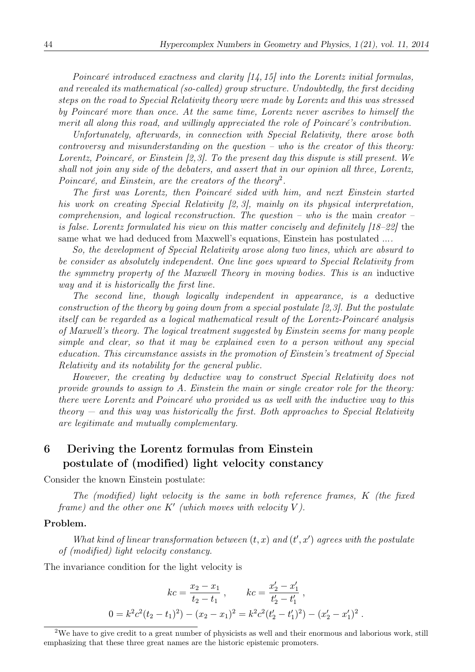Poincaré introduced exactness and clarity  $[14, 15]$  into the Lorentz initial formulas, and revealed its mathematical (so-called) group structure. Undoubtedly, the first deciding steps on the road to Special Relativity theory were made by Lorentz and this was stressed by Poincaré more than once. At the same time, Lorentz never ascribes to himself the merit all along this road, and willingly appreciated the role of Poincaré's contribution.

Unfortunately, afterwards, in connection with Special Relativity, there arose both  $\textit{controversy}$  and misunderstanding on the question – who is the creator of this theory: Lorentz, Poincaré, or Einstein  $[2,3]$ . To the present day this dispute is still present. We shall not join any side of the debaters, and assert that in our opinion all three, Lorentz, Poincaré, and Einstein, are the creators of the theory<sup>2</sup>.

The first was Lorentz, then Poincaré sided with him, and next Einstein started his work on creating Special Relativity [2, 3], mainly on its physical interpretation, comprehension, and logical reconstruction. The question – who is the main creator – is false. Lorentz formulated his view on this matter concisely and definitely [18–22] the same what we had deduced from Maxwell's equations, Einstein has postulated ....

So, the development of Special Relativity arose along two lines, which are absurd to be consider as absolutely independent. One line goes upward to Special Relativity from the symmetry property of the Maxwell Theory in moving bodies. This is an inductive way and it is historically the first line.

The second line, though logically independent in appearance, is a deductive construction of the theory by going down from a special postulate [2,3]. But the postulate itself can be regarded as a logical mathematical result of the Lorentz-Poincaré analysis of Maxwell's theory. The logical treatment suggested by Einstein seems for many people simple and clear, so that it may be explained even to a person without any special education. This circumstance assists in the promotion of Einstein's treatment of Special Relativity and its notability for the general public.

However, the creating by deductive way to construct Special Relativity does not provide grounds to assign to A. Einstein the main or single creator role for the theory: there were Lorentz and Poincaré who provided us as well with the inductive way to this theory  $-$  and this way was historically the first. Both approaches to Special Relativity are legitimate and mutually complementary.

## 6 Deriving the Lorentz formulas from Einstein postulate of (modified) light velocity constancy

Consider the known Einstein postulate:

The (modified) light velocity is the same in both reference frames, K (the fixed frame) and the other one  $K'$  (which moves with velocity V).

#### Problem.

What kind of linear transformation between  $(t, x)$  and  $(t', x')$  agrees with the postulate of (modified) light velocity constancy.

The invariance condition for the light velocity is

$$
kc = \frac{x_2 - x_1}{t_2 - t_1}, \qquad kc = \frac{x'_2 - x'_1}{t'_2 - t'_1},
$$
  

$$
0 = k^2 c^2 (t_2 - t_1)^2 - (x_2 - x_1)^2 = k^2 c^2 (t'_2 - t'_1)^2 - (x'_2 - x'_1)^2.
$$

<sup>2</sup>We have to give credit to a great number of physicists as well and their enormous and laborious work, still emphasizing that these three great names are the historic epistemic promoters.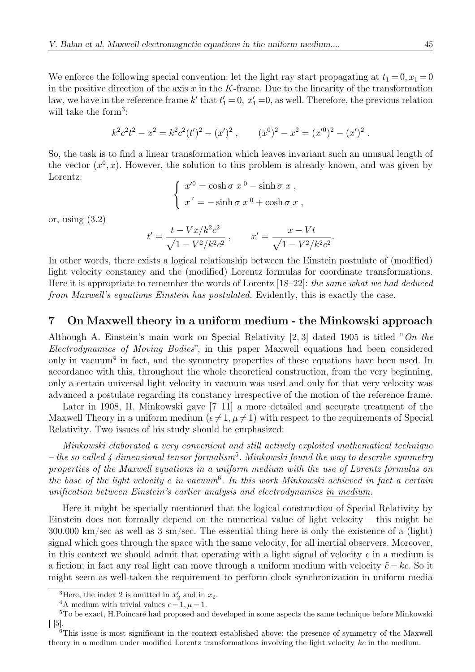We enforce the following special convention: let the light ray start propagating at  $t_1 = 0, x_1 = 0$ in the positive direction of the axis  $x$  in the K-frame. Due to the linearity of the transformation law, we have in the reference frame  $k'$  that  $t'_{1} = 0$ ,  $x'_{1} = 0$ , as well. Therefore, the previous relation will take the form<sup>3</sup>:

$$
k^2c^2t^2 - x^2 = k^2c^2(t')^2 - (x')^2
$$
,  $(x^0)^2 - x^2 = (x'^0)^2 - (x')^2$ .

So, the task is to find a linear transformation which leaves invariant such an unusual length of the vector  $(x^0, x)$ . However, the solution to this problem is already known, and was given by Lorentz:

$$
\begin{cases}\nx'^0 = \cosh \sigma \ x^0 - \sinh \sigma \ x \ , \\
x' = -\sinh \sigma \ x^0 + \cosh \sigma \ x \ ,\n\end{cases}
$$

or, using  $(3.2)$ 

$$
t' = \frac{t - Vx/k^2c^2}{\sqrt{1 - V^2/k^2c^2}} , \qquad x' = \frac{x - Vt}{\sqrt{1 - V^2/k^2c^2}}.
$$

In other words, there exists a logical relationship between the Einstein postulate of (modified) light velocity constancy and the (modified) Lorentz formulas for coordinate transformations. Here it is appropriate to remember the words of Lorentz [18–22]: the same what we had deduced from Maxwell's equations Einstein has postulated. Evidently, this is exactly the case.

#### 7 On Maxwell theory in a uniform medium - the Minkowski approach

Although A. Einstein's main work on Special Relativity [2, 3] dated 1905 is titled "On the Electrodynamics of Moving Bodies", in this paper Maxwell equations had been considered only in vacuum<sup>4</sup> in fact, and the symmetry properties of these equations have been used. In accordance with this, throughout the whole theoretical construction, from the very beginning, only a certain universal light velocity in vacuum was used and only for that very velocity was advanced a postulate regarding its constancy irrespective of the motion of the reference frame.

Later in 1908, H. Minkowski gave [7–11] a more detailed and accurate treatment of the Maxwell Theory in a uniform medium  $(\epsilon \neq 1, \mu \neq 1)$  with respect to the requirements of Special Relativity. Two issues of his study should be emphasized:

Minkowski elaborated a very convenient and still actively exploited mathematical technique – the so called 4-dimensional tensor formalism<sup>5</sup>. Minkowski found the way to describe symmetry properties of the Maxwell equations in a uniform medium with the use of Lorentz formulas on the base of the light velocity c in vacuum<sup>6</sup>. In this work Minkowski achieved in fact a certain unification between Einstein's earlier analysis and electrodynamics in medium.

Here it might be specially mentioned that the logical construction of Special Relativity by Einstein does not formally depend on the numerical value of light velocity – this might be  $300.000 \text{ km/sec}$  as well as 3 sm/sec. The essential thing here is only the existence of a (light) signal which goes through the space with the same velocity, for all inertial observers. Moreover, in this context we should admit that operating with a light signal of velocity  $c$  in a medium is a fiction; in fact any real light can move through a uniform medium with velocity  $\tilde{c} = kc$ . So it might seem as well-taken the requirement to perform clock synchronization in uniform media

<sup>&</sup>lt;sup>3</sup>Here, the index 2 is omitted in  $x'_2$  and in  $x_2$ .<br><sup>4</sup>A medium with trivial values  $\epsilon = 1, \mu = 1$ .

 $5T<sub>0</sub>$  be exact, H.Poincaré had proposed and developed in some aspects the same technique before Minkowski  $\lceil$  [5].

 $6$ This issue is most significant in the context established above: the presence of symmetry of the Maxwell theory in a medium under modified Lorentz transformations involving the light velocity kc in the medium.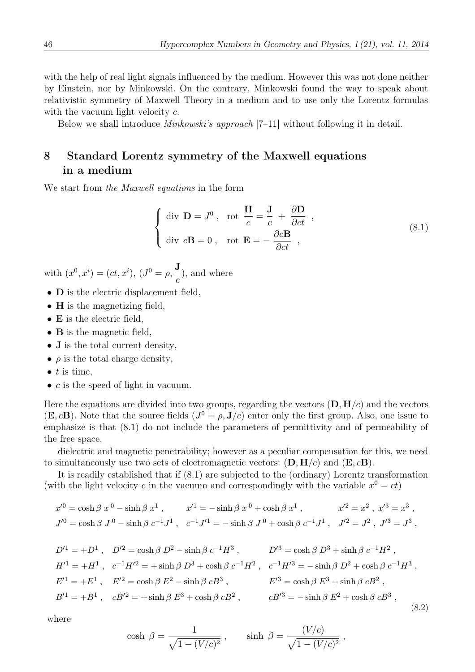with the help of real light signals influenced by the medium. However this was not done neither by Einstein, nor by Minkowski. On the contrary, Minkowski found the way to speak about relativistic symmetry of Maxwell Theory in a medium and to use only the Lorentz formulas with the vacuum light velocity  $c$ .

Below we shall introduce *Minkowski's approach*  $[7-11]$  without following it in detail.

## 8 Standard Lorentz symmetry of the Maxwell equations in a medium

We start from the Maxwell equations in the form

$$
\begin{cases} \text{div } \mathbf{D} = J^0 , \text{ rot } \frac{\mathbf{H}}{c} = \frac{\mathbf{J}}{c} + \frac{\partial \mathbf{D}}{\partial ct} , \\ \text{div } c\mathbf{B} = 0 , \text{ rot } \mathbf{E} = -\frac{\partial c\mathbf{B}}{\partial ct} , \end{cases}
$$
(8.1)

with  $(x^0, x^i) = (ct, x^i), (J^0 = \rho, \frac{\mathbf{J}}{\mathbf{J}})$  $\frac{c}{c}$ ), and where

- **D** is the electric displacement field,
- **H** is the magnetizing field,
- E is the electric field,
- **B** is the magnetic field,
- **J** is the total current density,
- $\rho$  is the total charge density,
- $\bullet$  t is time,
- $c$  is the speed of light in vacuum.

Here the equations are divided into two groups, regarding the vectors  $(D, H/c)$  and the vectors  $(E, cB)$ . Note that the source fields  $(J^0 = \rho, J/c)$  enter only the first group. Also, one issue to emphasize is that (8.1) do not include the parameters of permittivity and of permeability of the free space.

dielectric and magnetic penetrability; however as a peculiar compensation for this, we need to simultaneously use two sets of electromagnetic vectors:  $(D, H/c)$  and  $(E, cB)$ .

It is readily established that if (8.1) are subjected to the (ordinary) Lorentz transformation (with the light velocity c in the vacuum and correspondingly with the variable  $x^0 = ct$ )

$$
x'^0 = \cosh \beta \ x^0 - \sinh \beta \ x^1 , \qquad x'^1 = -\sinh \beta \ x^0 + \cosh \beta \ x^1 , \qquad x'^2 = x^2 , \ x'^3 = x^3 ,
$$
  

$$
J'^0 = \cosh \beta \ J^0 - \sinh \beta \ c^{-1} J^1 , \quad c^{-1} J'^1 = -\sinh \beta \ J^0 + \cosh \beta \ c^{-1} J^1 , \quad J'^2 = J^2 , \ J'^3 = J^3 ,
$$

$$
D'^{1} = +D^{1}, \quad D'^{2} = \cosh \beta D^{2} - \sinh \beta c^{-1} H^{3}, \qquad D'^{3} = \cosh \beta D^{3} + \sinh \beta c^{-1} H^{2},
$$
  
\n
$$
H'^{1} = +H^{1}, \quad c^{-1} H'^{2} = + \sinh \beta D^{3} + \cosh \beta c^{-1} H^{2}, \quad c^{-1} H'^{3} = - \sinh \beta D^{2} + \cosh \beta c^{-1} H^{3},
$$
  
\n
$$
E'^{1} = +E^{1}, \quad E'^{2} = \cosh \beta E^{2} - \sinh \beta cB^{3}, \qquad E'^{3} = \cosh \beta E^{3} + \sinh \beta cB^{2},
$$
  
\n
$$
B'^{1} = +B^{1}, \quad cB'^{2} = + \sinh \beta E^{3} + \cosh \beta cB^{2}, \qquad cB'^{3} = - \sinh \beta E^{2} + \cosh \beta cB^{3},
$$
  
\n(8.2)

where

$$
\cosh \beta = \frac{1}{\sqrt{1 - (V/c)^2}}, \qquad \sinh \beta = \frac{(V/c)}{\sqrt{1 - (V/c)^2}},
$$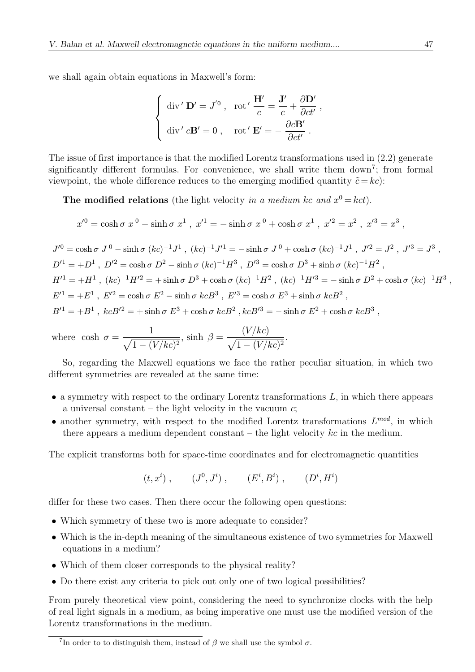we shall again obtain equations in Maxwell's form:

$$
\begin{cases}\n\operatorname{div}' \mathbf{D}' = J'^0, & \operatorname{rot}' \frac{\mathbf{H}'}{c} = \frac{\mathbf{J}'}{c} + \frac{\partial \mathbf{D}'}{\partial ct'} ,\\
\operatorname{div}' c\mathbf{B}' = 0, & \operatorname{rot}' \mathbf{E}' = -\frac{\partial c\mathbf{B}'}{\partial ct'} .\n\end{cases}
$$

The issue of first importance is that the modified Lorentz transformations used in (2.2) generate significantly different formulas. For convenience, we shall write them down<sup>7</sup>; from formal viewpoint, the whole difference reduces to the emerging modified quantity  $\tilde{c} = kc$ :

The modified relations (the light velocity in a medium kc and  $x^0 = kct$ ).

$$
x'^0 = \cosh \sigma \ x^0 - \sinh \sigma \ x^1 \ , \ x'^1 = -\sinh \sigma \ x^0 + \cosh \sigma \ x^1 \ , \ x'^2 = x^2 \ , \ x'^3 = x^3 \ ,
$$

 $J^{0} = \cosh \sigma J^{0} - \sinh \sigma (kc)^{-1}J^{1}$ ,  $(kc)^{-1}J^{1} = -\sinh \sigma J^{0} + \cosh \sigma (kc)^{-1}J^{1}$ ,  $J^{12} = J^{2}$ ,  $J^{13} = J^{3}$ ,  $D'^1 = +D^1$ ,  $D'^2 = \cosh \sigma D^2 - \sinh \sigma (kc)^{-1}H^3$ ,  $D'^3 = \cosh \sigma D^3 + \sinh \sigma (kc)^{-1}H^2$ ,  $H^{1} = +H^1$ ,  $(kc)^{-1}H^{2} = + \sinh \sigma D^3 + \cosh \sigma (kc)^{-1}H^2$ ,  $(kc)^{-1}H^{3} = - \sinh \sigma D^2 + \cosh \sigma (kc)^{-1}H^3$ ,  $E^{11} = +E^1$ ,  $E^{2} = \cosh \sigma E^2 - \sinh \sigma k c B^3$ ,  $E^{3} = \cosh \sigma E^3 + \sinh \sigma k c B^2$ ,  $B'^1 = +B^1$ ,  $kcB'^2 = + \sinh \sigma E^3 + \cosh \sigma kcB^2$ ,  $kcB'^3 = - \sinh \sigma E^2 + \cosh \sigma kcB^3$ ,

.

where 
$$
\cosh \sigma = \frac{1}{\sqrt{1 - (V/kc)^2}}
$$
,  $\sinh \beta = \frac{(V/kc)}{\sqrt{1 - (V/kc)^2}}$ 

So, regarding the Maxwell equations we face the rather peculiar situation, in which two different symmetries are revealed at the same time:

- $\bullet$  a symmetry with respect to the ordinary Lorentz transformations  $L$ , in which there appears a universal constant – the light velocity in the vacuum  $c$ ;
- another symmetry, with respect to the modified Lorentz transformations  $L^{mod}$ , in which there appears a medium dependent constant – the light velocity  $kc$  in the medium.

The explicit transforms both for space-time coordinates and for electromagnetic quantities

$$
(t, x^i)
$$
,  $(J^0, J^i)$ ,  $(E^i, B^i)$ ,  $(D^i, H^i)$ 

differ for these two cases. Then there occur the following open questions:

- Which symmetry of these two is more adequate to consider?
- Which is the in-depth meaning of the simultaneous existence of two symmetries for Maxwell equations in a medium?
- Which of them closer corresponds to the physical reality?
- Do there exist any criteria to pick out only one of two logical possibilities?

From purely theoretical view point, considering the need to synchronize clocks with the help of real light signals in a medium, as being imperative one must use the modified version of the Lorentz transformations in the medium.

<sup>&</sup>lt;sup>7</sup>In order to to distinguish them, instead of  $\beta$  we shall use the symbol  $\sigma$ .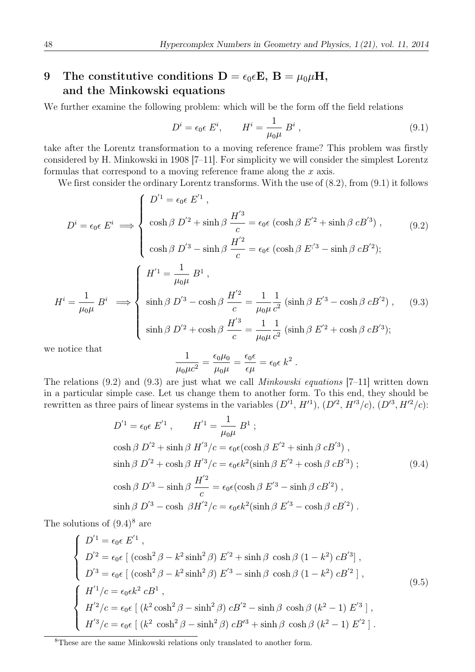## 9 The constitutive conditions  $D = \epsilon_0 \epsilon E$ ,  $B = \mu_0 \mu H$ , and the Minkowski equations

We further examine the following problem: which will be the form off the field relations

$$
D^{i} = \epsilon_{0} \epsilon \ E^{i}, \qquad H^{i} = \frac{1}{\mu_{0}\mu} \ B^{i} \ , \tag{9.1}
$$

take after the Lorentz transformation to a moving reference frame? This problem was firstly considered by H. Minkowski in 1908 [7–11]. For simplicity we will consider the simplest Lorentz formulas that correspond to a moving reference frame along the  $x$  axis.

We first consider the ordinary Lorentz transforms. With the use of  $(8.2)$ , from  $(9.1)$  it follows

$$
D^{i} = \epsilon_{0} \epsilon E^{i} \implies \begin{cases} D'^{1} = \epsilon_{0} \epsilon E'^{1}, \\ \cosh \beta D'^{2} + \sinh \beta \frac{H'^{3}}{c} = \epsilon_{0} \epsilon (\cosh \beta E'^{2} + \sinh \beta c B'^{3}), \\ \cosh \beta D'^{3} - \sinh \beta \frac{H'^{2}}{c} = \epsilon_{0} \epsilon (\cosh \beta E'^{3} - \sinh \beta c B'^{2}); \end{cases}
$$
(9.2)  

$$
H^{i} = \frac{1}{\mu_{0} \mu} B^{i} \implies \begin{cases} H'^{1} = \frac{1}{\mu_{0} \mu} B^{1}, \\ \sinh \beta D'^{3} - \cosh \beta \frac{H'^{2}}{c} = \frac{1}{\mu_{0} \mu} \frac{1}{c^{2}} (\sinh \beta E'^{3} - \cosh \beta c B'^{2}), \\ \sinh \beta D'^{2} + \cosh \beta \frac{H'^{3}}{c} = \frac{1}{\mu_{0} \mu} \frac{1}{c^{2}} (\sinh \beta E'^{2} + \cosh \beta c B'^{3}); \end{cases}
$$
(9.3)

we notice that

$$
\frac{1}{\mu_0 \mu c^2} = \frac{\epsilon_0 \mu_0}{\mu_0 \mu} = \frac{\epsilon_0 \epsilon}{\epsilon \mu} = \epsilon_0 \epsilon \ k^2.
$$

The relations (9.2) and (9.3) are just what we call Minkowski equations [7–11] written down in a particular simple case. Let us change them to another form. To this end, they should be rewritten as three pairs of linear systems in the variables  $(D^1, H^1), (D^2, H^3/c), (D^3, H^2/c)$ :

$$
D^{'1} = \epsilon_0 \epsilon E^{'1}, \qquad H^{'1} = \frac{1}{\mu_0 \mu} B^1 ;
$$
  
\n
$$
\cosh \beta D^{'2} + \sinh \beta H^{'3}/c = \epsilon_0 \epsilon (\cosh \beta E^{'2} + \sinh \beta c B^{'3}),
$$
  
\n
$$
\sinh \beta D^{'2} + \cosh \beta H^{'3}/c = \epsilon_0 \epsilon k^2 (\sinh \beta E^{'2} + \cosh \beta c B^{'3}) ;
$$
  
\n
$$
\cosh \beta D^{'3} - \sinh \beta \frac{H^{'2}}{c} = \epsilon_0 \epsilon (\cosh \beta E^{'3} - \sinh \beta c B^{'2}),
$$
  
\n
$$
\sinh \beta D^{'3} - \cosh \beta H^{'2}/c = \epsilon_0 \epsilon k^2 (\sinh \beta E^{'3} - \cosh \beta c B^{'2}).
$$
\n(9.4)

The solutions of  $(9.4)^8$  are

$$
\begin{cases}\nD'^{1} = \epsilon_{0} \epsilon E'^{1} ,\\ \nD'^{2} = \epsilon_{0} \epsilon \left[ (\cosh^{2} \beta - k^{2} \sinh^{2} \beta) E'^{2} + \sinh \beta \cosh \beta (1 - k^{2}) c B'^{3} \right],\\ \nD'^{3} = \epsilon_{0} \epsilon \left[ (\cosh^{2} \beta - k^{2} \sinh^{2} \beta) E'^{3} - \sinh \beta \cosh \beta (1 - k^{2}) c B'^{2} \right],\\ \nH'^{1}/c = \epsilon_{0} \epsilon k^{2} c B^{1} ,\\ \nH'^{2}/c = \epsilon_{0} \epsilon \left[ (k^{2} \cosh^{2} \beta - \sinh^{2} \beta) c B'^{2} - \sinh \beta \cosh \beta (k^{2} - 1) E'^{3} \right],\\ \nH'^{3}/c = \epsilon_{0} \epsilon \left[ (k^{2} \cosh^{2} \beta - \sinh^{2} \beta) c B'^{3} + \sinh \beta \cosh \beta (k^{2} - 1) E'^{2} \right].\n\end{cases}
$$
\n(9.5)

<sup>8</sup>These are the same Minkowski relations only translated to another form.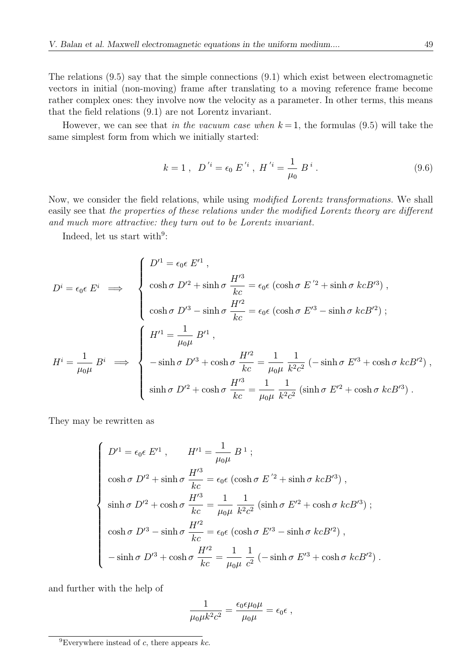The relations (9.5) say that the simple connections (9.1) which exist between electromagnetic vectors in initial (non-moving) frame after translating to a moving reference frame become rather complex ones: they involve now the velocity as a parameter. In other terms, this means that the field relations (9.1) are not Lorentz invariant.

However, we can see that in the vacuum case when  $k = 1$ , the formulas (9.5) will take the same simplest form from which we initially started:

$$
k = 1
$$
,  $D^{'i} = \epsilon_0 E^{'i}$ ,  $H^{'i} = \frac{1}{\mu_0} B^i$ . (9.6)

Now, we consider the field relations, while using modified Lorentz transformations. We shall easily see that the properties of these relations under the modified Lorentz theory are different and much more attractive: they turn out to be Lorentz invariant.

Indeed, let us start with $9$ :

$$
D^{i} = \epsilon_{0} \epsilon E^{i} \implies \begin{cases} D'^{1} = \epsilon_{0} \epsilon E'^{1}, \\ \cosh \sigma D'^{2} + \sinh \sigma \frac{H'^{3}}{kc} = \epsilon_{0} \epsilon (\cosh \sigma E'^{2} + \sinh \sigma kcB'^{3}), \\ \cosh \sigma D'^{3} - \sinh \sigma \frac{H'^{2}}{kc} = \epsilon_{0} \epsilon (\cosh \sigma E'^{3} - \sinh \sigma kcB'^{2}); \end{cases}
$$

$$
H^{i} = \frac{1}{\mu_{0}\mu} B^{i} \implies \begin{cases} H'^{1} = \frac{1}{\mu_{0}\mu} B'^{1}, \\ -\sinh \sigma D'^{3} + \cosh \sigma \frac{H'^{2}}{kc} = \frac{1}{\mu_{0}\mu} \frac{1}{k^{2}c^{2}} (-\sinh \sigma E'^{3} + \cosh \sigma kcB'^{2}), \\ \sinh \sigma D'^{2} + \cosh \sigma \frac{H'^{3}}{kc} = \frac{1}{\mu_{0}\mu} \frac{1}{k^{2}c^{2}} (\sinh \sigma E'^{2} + \cosh \sigma kcB'^{3}). \end{cases}
$$

They may be rewritten as

$$
\begin{cases}\nD'^1 = \epsilon_0 \epsilon E'^1, & H'^1 = \frac{1}{\mu_0 \mu} B^1; \\
\cosh \sigma D'^2 + \sinh \sigma \frac{H'^3}{kc} = \epsilon_0 \epsilon (\cosh \sigma E'^2 + \sinh \sigma k c B'^3), \\
\sinh \sigma D'^2 + \cosh \sigma \frac{H'^3}{kc} = \frac{1}{\mu_0 \mu} \frac{1}{k^2 c^2} (\sinh \sigma E'^2 + \cosh \sigma k c B'^3); \\
\cosh \sigma D'^3 - \sinh \sigma \frac{H'^2}{kc} = \epsilon_0 \epsilon (\cosh \sigma E'^3 - \sinh \sigma k c B'^2), \\
-\sinh \sigma D'^3 + \cosh \sigma \frac{H'^2}{kc} = \frac{1}{\mu_0 \mu} \frac{1}{c^2} (-\sinh \sigma E'^3 + \cosh \sigma k c B'^2).\n\end{cases}
$$

and further with the help of

$$
\frac{1}{\mu_0 \mu k^2 c^2} = \frac{\epsilon_0 \epsilon \mu_0 \mu}{\mu_0 \mu} = \epsilon_0 \epsilon ,
$$

<sup>&</sup>lt;sup>9</sup>Everywhere instead of c, there appears  $kc$ .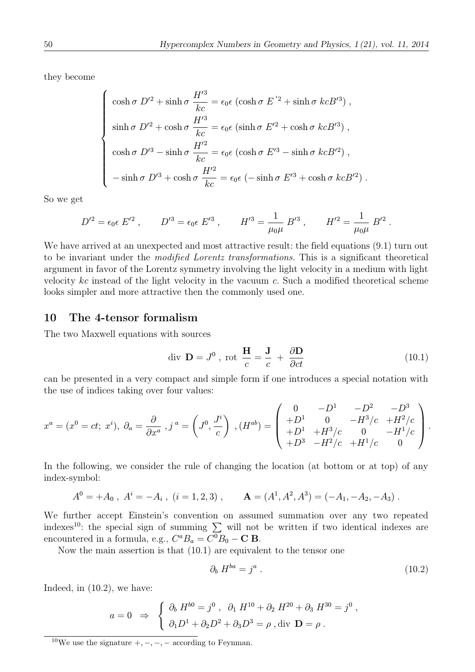they become

$$
\begin{cases}\n\cosh \sigma D'^2 + \sinh \sigma \frac{H'^3}{kc} = \epsilon_0 \epsilon (\cosh \sigma E'^2 + \sinh \sigma k c B'^3),\n\sinh \sigma D'^2 + \cosh \sigma \frac{H'^3}{kc} = \epsilon_0 \epsilon (\sinh \sigma E'^2 + \cosh \sigma k c B'^3),\n\cosh \sigma D'^3 - \sinh \sigma \frac{H'^2}{kc} = \epsilon_0 \epsilon (\cosh \sigma E'^3 - \sinh \sigma k c B'^2),\n-\sinh \sigma D'^3 + \cosh \sigma \frac{H'^2}{kc} = \epsilon_0 \epsilon (-\sinh \sigma E'^3 + \cosh \sigma k c B'^2).\n\end{cases}
$$

So we get

$$
D^{\prime 2} = \epsilon_0 \epsilon \ E^{\prime 2} \ , \qquad D^{\prime 3} = \epsilon_0 \epsilon \ E^{\prime 3} \ , \qquad H^{\prime 3} = \frac{1}{\mu_0 \mu} \ B^{\prime 3} \ , \qquad H^{\prime 2} = \frac{1}{\mu_0 \mu} \ B^{\prime 2} \ .
$$

We have arrived at an unexpected and most attractive result: the field equations (9.1) turn out to be invariant under the modified Lorentz transformations. This is a significant theoretical argument in favor of the Lorentz symmetry involving the light velocity in a medium with light velocity  $kc$  instead of the light velocity in the vacuum c. Such a modified theoretical scheme looks simpler and more attractive then the commonly used one.

#### 10 The 4-tensor formalism

The two Maxwell equations with sources

$$
\text{div } \mathbf{D} = J^0 \text{, rot } \frac{\mathbf{H}}{c} = \frac{\mathbf{J}}{c} + \frac{\partial \mathbf{D}}{\partial ct}
$$
 (10.1)

can be presented in a very compact and simple form if one introduces a special notation with the use of indices taking over four values:

$$
x^{a} = (x^{0} = ct; x^{i}), \ \partial_{a} = \frac{\partial}{\partial x^{a}}, j^{a} = \left(J^{0}, \frac{J^{i}}{c}\right), (H^{ab}) = \begin{pmatrix} 0 & -D^{1} & -D^{2} & -D^{3} \\ +D^{1} & 0 & -H^{3}/c & +H^{2}/c \\ +D^{3} & -H^{2}/c & +H^{1}/c & 0 \end{pmatrix}.
$$

In the following, we consider the rule of changing the location (at bottom or at top) of any index-symbol:

$$
A^0 = +A_0 , A^i = -A_i , (i = 1, 2, 3) , \qquad A = (A^1, A^2, A^3) = (-A_1, -A_2, -A_3) .
$$

We further accept Einstein's convention on assumed summation over any two repeated indexes<sup>10</sup>: the special sign of summing  $\sum$  will not be written if two identical indexes are encountered in a formula, e.g.,  $C^a B_a = C^0 B_0 - \mathbf{C} \mathbf{B}$ .

Now the main assertion is that (10.1) are equivalent to the tensor one

$$
\partial_b H^{ba} = j^a \tag{10.2}
$$

Indeed, in (10.2), we have:

$$
a = 0 \Rightarrow \begin{cases} \partial_b H^{b0} = j^0 , \partial_1 H^{10} + \partial_2 H^{20} + \partial_3 H^{30} = j^0 , \\ \partial_1 D^1 + \partial_2 D^2 + \partial_3 D^3 = \rho , \text{div } \mathbf{D} = \rho . \end{cases}
$$

<sup>10</sup>We use the signature  $+,-,-,-$  according to Feynman.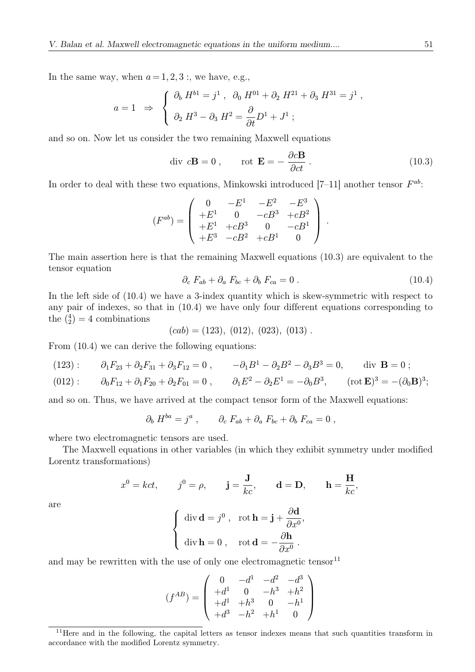In the same way, when  $a = 1, 2, 3$ ; we have, e.g.,

$$
a = 1 \Rightarrow \begin{cases} \partial_b H^{b1} = j^1 , \partial_0 H^{01} + \partial_2 H^{21} + \partial_3 H^{31} = j^1 , \\ \partial_2 H^3 - \partial_3 H^2 = \frac{\partial}{\partial t} D^1 + J^1 ; \end{cases}
$$

and so on. Now let us consider the two remaining Maxwell equations

$$
\text{div } c\mathbf{B} = 0 \,, \qquad \text{rot } \mathbf{E} = -\frac{\partial c\mathbf{B}}{\partial ct} \,. \tag{10.3}
$$

In order to deal with these two equations, Minkowski introduced [7–11] another tensor  $F^{ab}$ :

$$
(F^{ab}) = \begin{pmatrix} 0 & -E^1 & -E^2 & -E^3 \\ +E^1 & 0 & -cB^3 & +cB^2 \\ +E^1 & +cB^3 & 0 & -cB^1 \\ +E^3 & -cB^2 & +cB^1 & 0 \end{pmatrix}.
$$

The main assertion here is that the remaining Maxwell equations (10.3) are equivalent to the tensor equation

$$
\partial_c F_{ab} + \partial_a F_{bc} + \partial_b F_{ca} = 0.
$$
\n(10.4)

In the left side of (10.4) we have a 3-index quantity which is skew-symmetric with respect to any pair of indexes, so that in (10.4) we have only four different equations corresponding to the  $\binom{4}{2} = 4$  combinations

 $(cab) = (123), (012), (023), (013)$ .

From  $(10.4)$  we can derive the following equations:

(123): 
$$
\partial_1 F_{23} + \partial_2 F_{31} + \partial_3 F_{12} = 0
$$
,  $-\partial_1 B^1 - \partial_2 B^2 - \partial_3 B^3 = 0$ , div **B** = 0;

$$
(012): \qquad \partial_0 F_{12} + \partial_1 F_{20} + \partial_2 F_{01} = 0 , \qquad \partial_1 E^2 - \partial_2 E^1 = -\partial_0 B^3, \qquad (\text{rot } \mathbf{E})^3 = -(\partial_0 \mathbf{B})^3;
$$

and so on. Thus, we have arrived at the compact tensor form of the Maxwell equations:

$$
\partial_b H^{ba} = j^a , \qquad \partial_c F_{ab} + \partial_a F_{bc} + \partial_b F_{ca} = 0 ,
$$

where two electromagnetic tensors are used.

The Maxwell equations in other variables (in which they exhibit symmetry under modified Lorentz transformations)

$$
x^0 = kct
$$
,  $j^0 = \rho$ ,  $\mathbf{j} = \frac{\mathbf{J}}{kc}$ ,  $\mathbf{d} = \mathbf{D}$ ,  $\mathbf{h} = \frac{\mathbf{H}}{kc}$ ,

are

$$
\begin{cases} \operatorname{div} \mathbf{d} = j^0, & \operatorname{rot} \mathbf{h} = \mathbf{j} + \frac{\partial \mathbf{d}}{\partial x^0}, \\ \operatorname{div} \mathbf{h} = 0, & \operatorname{rot} \mathbf{d} = -\frac{\partial \mathbf{h}}{\partial x^0}. \end{cases}
$$

and may be rewritten with the use of only one electromagnetic tensor $^{11}$ 

$$
(f^{AB}) = \begin{pmatrix} 0 & -d^1 & -d^2 & -d^3 \\ +d^1 & 0 & -h^3 & +h^2 \\ +d^1 & +h^3 & 0 & -h^1 \\ +d^3 & -h^2 & +h^1 & 0 \end{pmatrix}
$$

<sup>&</sup>lt;sup>11</sup>Here and in the following, the capital letters as tensor indexes means that such quantities transform in accordance with the modified Lorentz symmetry.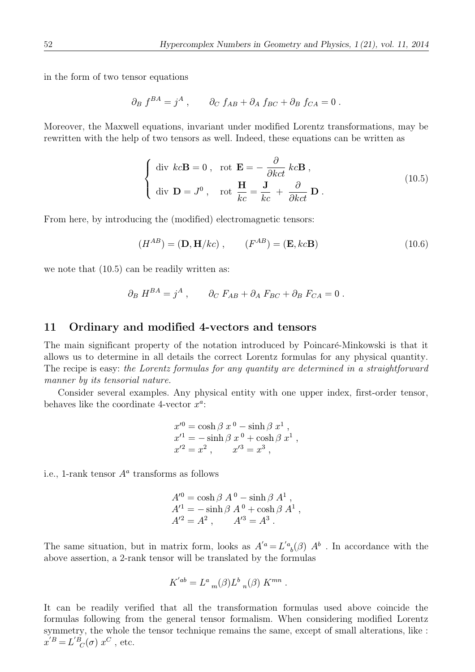in the form of two tensor equations

$$
\partial_B f^{BA} = j^A , \qquad \partial_C f_{AB} + \partial_A f_{BC} + \partial_B f_{CA} = 0 .
$$

Moreover, the Maxwell equations, invariant under modified Lorentz transformations, may be rewritten with the help of two tensors as well. Indeed, these equations can be written as

$$
\begin{cases} \text{div } k c \mathbf{B} = 0 \,, \text{ rot } \mathbf{E} = -\frac{\partial}{\partial k c t} k c \mathbf{B} \,, \\ \text{div } \mathbf{D} = J^0 \,, \text{ rot } \frac{\mathbf{H}}{kc} = \frac{\mathbf{J}}{kc} + \frac{\partial}{\partial k c t} \mathbf{D} \,. \end{cases} \tag{10.5}
$$

From here, by introducing the (modified) electromagnetic tensors:

$$
(H^{AB}) = (\mathbf{D}, \mathbf{H}/kc) , \qquad (F^{AB}) = (\mathbf{E}, kc\mathbf{B})
$$
 (10.6)

we note that  $(10.5)$  can be readily written as:

$$
\partial_B H^{BA} = j^A , \qquad \partial_C F_{AB} + \partial_A F_{BC} + \partial_B F_{CA} = 0 .
$$

#### 11 Ordinary and modified 4-vectors and tensors

The main significant property of the notation introduced by Poincaré-Minkowski is that it allows us to determine in all details the correct Lorentz formulas for any physical quantity. The recipe is easy: the Lorentz formulas for any quantity are determined in a straightforward manner by its tensorial nature.

Consider several examples. Any physical entity with one upper index, first-order tensor, behaves like the coordinate 4-vector  $x^a$ :

$$
x'^{0} = \cosh \beta x^{0} - \sinh \beta x^{1},
$$
  
\n
$$
x'^{1} = -\sinh \beta x^{0} + \cosh \beta x^{1},
$$
  
\n
$$
x'^{2} = x^{2}, \qquad x'^{3} = x^{3},
$$

i.e., 1-rank tensor  $A^a$  transforms as follows

$$
A'^0 = \cosh \beta A^0 - \sinh \beta A^1 ,A'^1 = - \sinh \beta A^0 + \cosh \beta A^1 ,A'^2 = A^2 , \tA'^3 = A^3 .
$$

The same situation, but in matrix form, looks as  $A^{'a} = L^{'a}_{\ b}(\beta) A^b$ . In accordance with the above assertion, a 2-rank tensor will be translated by the formulas

$$
K^{'ab} = L^a{}_m(\beta) L^b{}_n(\beta) K^{mn} .
$$

It can be readily verified that all the transformation formulas used above coincide the formulas following from the general tensor formalism. When considering modified Lorentz symmetry, the whole the tensor technique remains the same, except of small alterations, like :  $x^{\prime}{}^{B}=L^{\prime}{}^{B}_{C}(\sigma)\;x^{C}$ , etc.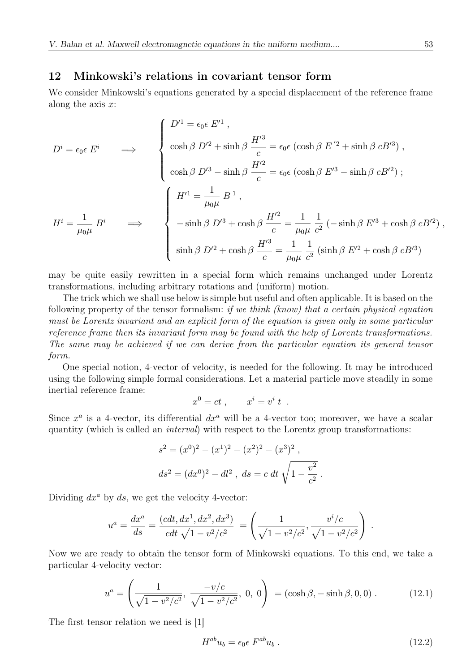### 12 Minkowski's relations in covariant tensor form

We consider Minkowski's equations generated by a special displacement of the reference frame along the axis  $x$ :

$$
D^{i} = \epsilon_{0} \epsilon E^{i} \qquad \Longrightarrow \qquad \begin{cases} \begin{array}{l} D'^{1} = \epsilon_{0} \epsilon E'^{1} , \\ \\ \cosh \beta D'^{2} + \sinh \beta \frac{H'^{3}}{c} = \epsilon_{0} \epsilon (\cosh \beta E'^{2} + \sinh \beta c B'^{3}) \,, \\ \\ \cosh \beta D'^{3} - \sinh \beta \frac{H'^{2}}{c} = \epsilon_{0} \epsilon (\cosh \beta E'^{3} - \sinh \beta c B'^{2}) \,; \\ \\ \end{array} \\ \begin{array}{l} H'^{1} = \dfrac{1}{\mu_{0} \mu} B^{1} , \\ \\ - \sinh \beta D'^{3} + \cosh \beta \frac{H'^{2}}{c} = \dfrac{1}{\mu_{0} \mu} \dfrac{1}{c^{2}} \left( - \sinh \beta E'^{3} + \cosh \beta c B'^{2} \right) , \\ \\ \sinh \beta D'^{2} + \cosh \beta \frac{H'^{3}}{c} = \dfrac{1}{\mu_{0} \mu} \dfrac{1}{c^{2}} \left( \sinh \beta E'^{2} + \cosh \beta c B'^{3} \right) \end{array} \end{cases}
$$

may be quite easily rewritten in a special form which remains unchanged under Lorentz transformations, including arbitrary rotations and (uniform) motion.

The trick which we shall use below is simple but useful and often applicable. It is based on the following property of the tensor formalism: if we think (know) that a certain physical equation must be Lorentz invariant and an explicit form of the equation is given only in some particular reference frame then its invariant form may be found with the help of Lorentz transformations. The same may be achieved if we can derive from the particular equation its general tensor form.

One special notion, 4-vector of velocity, is needed for the following. It may be introduced using the following simple formal considerations. Let a material particle move steadily in some inertial reference frame:

$$
x^0 = ct , \qquad x^i = v^i t .
$$

Since  $x^a$  is a 4-vector, its differential  $dx^a$  will be a 4-vector too; moreover, we have a scalar quantity (which is called an interval) with respect to the Lorentz group transformations:

$$
s2 = (x0)2 - (x1)2 - (x2)2 - (x3)2,
$$
  

$$
ds2 = (dx0)2 - dl2,
$$
 ds = c dt  $\sqrt{1 - \frac{v2}{c2}}$ .

Dividing  $dx^a$  by ds, we get the velocity 4-vector:

$$
u^{a} = \frac{dx^{a}}{ds} = \frac{(cdt, dx^{1}, dx^{2}, dx^{3})}{cdt \sqrt{1 - v^{2}/c^{2}}} = \left(\frac{1}{\sqrt{1 - v^{2}/c^{2}}}, \frac{v^{i}/c}{\sqrt{1 - v^{2}/c^{2}}}\right).
$$

Now we are ready to obtain the tensor form of Minkowski equations. To this end, we take a particular 4-velocity vector:

$$
u^{a} = \left(\frac{1}{\sqrt{1 - v^{2}/c^{2}}}, \frac{-v/c}{\sqrt{1 - v^{2}/c^{2}}}, 0, 0\right) = (\cosh \beta, -\sinh \beta, 0, 0).
$$
 (12.1)

The first tensor relation we need is [1]

$$
H^{ab}u_b = \epsilon_0 \epsilon \ F^{ab}u_b \ . \tag{12.2}
$$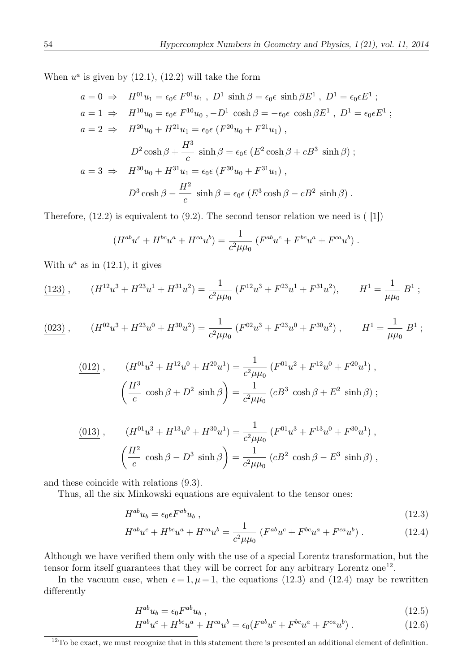When  $u^a$  is given by (12.1), (12.2) will take the form

$$
a = 0 \Rightarrow H^{01}u_1 = \epsilon_0 \epsilon F^{01}u_1, D^1 \sinh \beta = \epsilon_0 \epsilon \sinh \beta E^1, D^1 = \epsilon_0 \epsilon E^1 ;
$$
  
\n
$$
a = 1 \Rightarrow H^{10}u_0 = \epsilon_0 \epsilon F^{10}u_0, -D^1 \cosh \beta = -\epsilon_0 \epsilon \cosh \beta E^1, D^1 = \epsilon_0 \epsilon E^1 ;
$$
  
\n
$$
a = 2 \Rightarrow H^{20}u_0 + H^{21}u_1 = \epsilon_0 \epsilon (F^{20}u_0 + F^{21}u_1),
$$
  
\n
$$
D^2 \cosh \beta + \frac{H^3}{c} \sinh \beta = \epsilon_0 \epsilon (E^2 \cosh \beta + cB^3 \sinh \beta) ;
$$
  
\n
$$
a = 3 \Rightarrow H^{30}u_0 + H^{31}u_1 = \epsilon_0 \epsilon (F^{30}u_0 + F^{31}u_1),
$$
  
\n
$$
D^3 \cosh \beta - \frac{H^2}{c} \sinh \beta = \epsilon_0 \epsilon (E^3 \cosh \beta - cB^2 \sinh \beta) .
$$

Therefore,  $(12.2)$  is equivalent to  $(9.2)$ . The second tensor relation we need is  $(11)$ 

$$
(H^{ab}u^c + H^{bc}u^a + H^{ca}u^b) = \frac{1}{c^2\mu\mu_0} (F^{ab}u^c + F^{bc}u^a + F^{ca}u^b) .
$$

With  $u^a$  as in (12.1), it gives

$$
\frac{(123)}{4}, \qquad (H^{12}u^3 + H^{23}u^1 + H^{31}u^2) = \frac{1}{c^2\mu\mu_0} (F^{12}u^3 + F^{23}u^1 + F^{31}u^2), \qquad H^1 = \frac{1}{\mu\mu_0} B^1 ;
$$

$$
\frac{(023)}{\mu} , \qquad (H^{02}u^3 + H^{23}u^0 + H^{30}u^2) = \frac{1}{c^2 \mu \mu_0} \left( F^{02}u^3 + F^{23}u^0 + F^{30}u^2 \right) , \qquad H^1 = \frac{1}{\mu \mu_0} B^1 ;
$$

$$
\frac{(012)}{(12)} , \qquad (H^{01}u^2 + H^{12}u^0 + H^{20}u^1) = \frac{1}{c^2\mu\mu_0} (F^{01}u^2 + F^{12}u^0 + F^{20}u^1) ,
$$

$$
\left(\frac{H^3}{c}\cosh\beta + D^2\sinh\beta\right) = \frac{1}{c^2\mu\mu_0} (cB^3\cosh\beta + E^2\sinh\beta) ;
$$

$$
\frac{(013)}{\left(\frac{H^2}{c}\cosh\beta - D^3\sinh\beta\right)} = \frac{1}{c^2\mu\mu_0} \left(F^{01}u^3 + F^{13}u^0 + F^{30}u^1\right),\,
$$

$$
\left(\frac{H^2}{c}\cosh\beta - D^3\sinh\beta\right) = \frac{1}{c^2\mu\mu_0} \left(cB^2\cosh\beta - E^3\sinh\beta\right),
$$

and these coincide with relations (9.3).

Thus, all the six Minkowski equations are equivalent to the tensor ones:

$$
H^{ab}u_b = \epsilon_0 \epsilon F^{ab}u_b \,, \tag{12.3}
$$

$$
H^{ab}u^c + H^{bc}u^a + H^{ca}u^b = \frac{1}{c^2\mu\mu_0} \left( F^{ab}u^c + F^{bc}u^a + F^{ca}u^b \right). \tag{12.4}
$$

Although we have verified them only with the use of a special Lorentz transformation, but the tensor form itself guarantees that they will be correct for any arbitrary Lorentz one<sup>12</sup>.

In the vacuum case, when  $\epsilon = 1, \mu = 1$ , the equations (12.3) and (12.4) may be rewritten differently

$$
H^{ab}u_b = \epsilon_0 F^{ab}u_b \t{,} \t(12.5)
$$

$$
H^{ab}u^c + H^{bc}u^a + H^{ca}u^b = \epsilon_0(F^{ab}u^c + F^{bc}u^a + F^{ca}u^b) \tag{12.6}
$$

<sup>&</sup>lt;sup>12</sup>To be exact, we must recognize that in this statement there is presented an additional element of definition.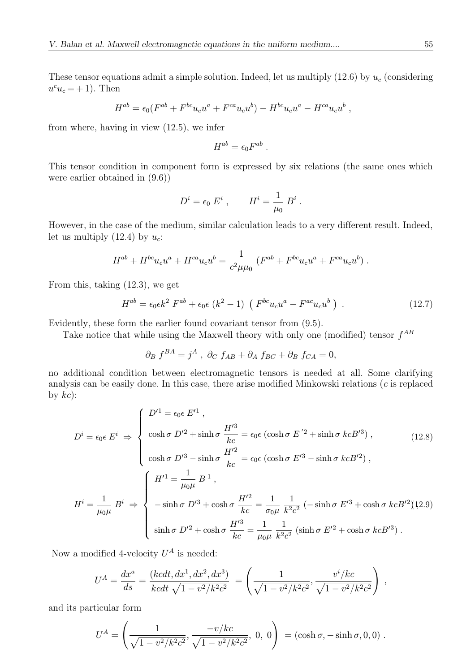These tensor equations admit a simple solution. Indeed, let us multiply  $(12.6)$  by  $u_c$  (considering  $u^c u_c = +1$ ). Then

$$
H^{ab} = \epsilon_0 (F^{ab} + F^{bc} u_c u^a + F^{ca} u_c u^b) - H^{bc} u_c u^a - H^{ca} u_c u^b,
$$

from where, having in view (12.5), we infer

$$
H^{ab}=\epsilon_0 F^{ab}\;.
$$

This tensor condition in component form is expressed by six relations (the same ones which were earlier obtained in (9.6))

$$
D^i = \epsilon_0 \ E^i \ , \qquad H^i = \frac{1}{\mu_0} \ B^i \ .
$$

However, in the case of the medium, similar calculation leads to a very different result. Indeed, let us multiply  $(12.4)$  by  $u_c$ :

$$
H^{ab} + H^{bc}u_c u^a + H^{ca}u_c u^b = \frac{1}{c^2 \mu \mu_0} (F^{ab} + F^{bc}u_c u^a + F^{ca}u_c u^b) .
$$

From this, taking (12.3), we get

$$
H^{ab} = \epsilon_0 \epsilon k^2 F^{ab} + \epsilon_0 \epsilon (k^2 - 1) (F^{bc} u_c u^a - F^{ac} u_c u^b).
$$
 (12.7)

Evidently, these form the earlier found covariant tensor from (9.5).

Take notice that while using the Maxwell theory with only one (modified) tensor  $f^{AB}$ 

$$
\partial_B f^{BA} = j^A , \ \partial_C f_{AB} + \partial_A f_{BC} + \partial_B f_{CA} = 0,
$$

no additional condition between electromagnetic tensors is needed at all. Some clarifying analysis can be easily done. In this case, there arise modified Minkowski relations (c is replaced by  $kc$ :

$$
D^{i} = \epsilon_{0} \epsilon \ E^{i} \Rightarrow \begin{cases} D'^{1} = \epsilon_{0} \epsilon \ E'^{1} , \\ \cosh \sigma \ D'^{2} + \sinh \sigma \ \frac{H'^{3}}{kc} = \epsilon_{0} \epsilon \ (\cosh \sigma \ E'^{2} + \sinh \sigma \ keB'^{3}) , \\ \cosh \sigma \ D'^{3} - \sinh \sigma \ \frac{H'^{2}}{kc} = \epsilon_{0} \epsilon \ (\cosh \sigma \ E'^{3} - \sinh \sigma \ keB'^{2}) , \\ H^{i} = \frac{1}{\mu_{0} \mu} \ B^{i} \Rightarrow \begin{cases} H'^{1} = \frac{1}{\mu_{0} \mu} \ B^{1} , \\ -\sinh \sigma \ D'^{3} + \cosh \sigma \ \frac{H'^{2}}{kc} = \frac{1}{\sigma_{0} \mu} \ \frac{1}{k^{2} c^{2}} \ (-\sinh \sigma \ E'^{3} + \cosh \sigma \ keB'^{2}) (12.9) \\ \sinh \sigma \ D'^{2} + \cosh \sigma \ \frac{H'^{3}}{kc} = \frac{1}{\mu_{0} \mu} \ \frac{1}{k^{2} c^{2}} \ (\sinh \sigma \ E'^{2} + \cosh \sigma \ keB'^{3}) . \end{cases} \end{cases}
$$
(12.8)

Now a modified 4-velocity  $U^A$  is needed:

$$
U^A = \frac{dx^a}{ds} = \frac{(kcdt, dx^1, dx^2, dx^3)}{kcdt\sqrt{1 - v^2/k^2c^2}} = \left(\frac{1}{\sqrt{1 - v^2/k^2c^2}}, \frac{v^i/kc}{\sqrt{1 - v^2/k^2c^2}}\right) ,
$$

and its particular form

$$
U^A = \left(\frac{1}{\sqrt{1 - v^2/k^2c^2}}, \frac{-v/kc}{\sqrt{1 - v^2/k^2c^2}}, 0, 0\right) = (\cosh \sigma, -\sinh \sigma, 0, 0).
$$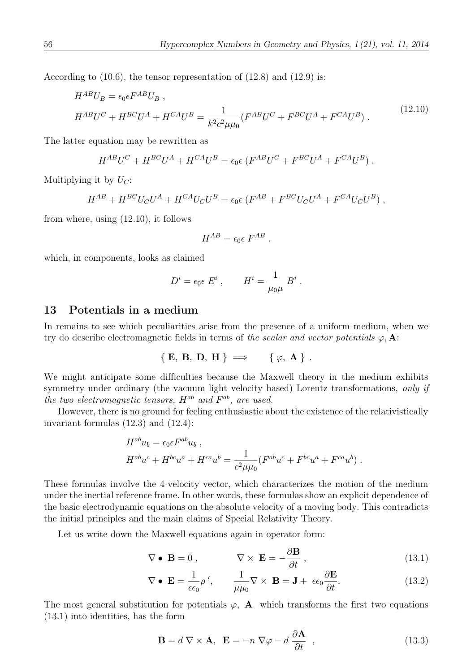According to (10.6), the tensor representation of (12.8) and (12.9) is:

$$
H^{AB}U_B = \epsilon_0 \epsilon F^{AB}U_B ,
$$
  
\n
$$
H^{AB}U^C + H^{BC}U^A + H^{CA}U^B = \frac{1}{k^2c^2\mu\mu_0} (F^{AB}U^C + F^{BC}U^A + F^{CA}U^B) .
$$
\n(12.10)

The latter equation may be rewritten as

$$
H^{AB}U^C + H^{BC}U^A + H^{CA}U^B = \epsilon_0 \epsilon \left( F^{AB}U^C + F^{BC}U^A + F^{CA}U^B \right).
$$

Multiplying it by  $U_C$ :

$$
H^{AB} + H^{BC}U_C U^A + H^{CA}U_C U^B = \epsilon_0 \epsilon (F^{AB} + F^{BC}U_C U^A + F^{CA}U_C U^B) ,
$$

from where, using (12.10), it follows

$$
H^{AB} = \epsilon_0 \epsilon F^{AB}.
$$

which, in components, looks as claimed

$$
D^i = \epsilon_0 \epsilon E^i , \qquad H^i = \frac{1}{\mu_0 \mu} B^i .
$$

### 13 Potentials in a medium

In remains to see which peculiarities arise from the presence of a uniform medium, when we try do describe electromagnetic fields in terms of the scalar and vector potentials  $\varphi$ , A:

$$
\{ E, B, D, H \} \implies \{ \varphi, A \} .
$$

We might anticipate some difficulties because the Maxwell theory in the medium exhibits symmetry under ordinary (the vacuum light velocity based) Lorentz transformations, only if the two electromagnetic tensors,  $H^{ab}$  and  $F^{ab}$ , are used.

However, there is no ground for feeling enthusiastic about the existence of the relativistically invariant formulas (12.3) and (12.4):

$$
H^{ab}u_b = \epsilon_0 \epsilon F^{ab}u_b ,
$$
  
\n
$$
H^{ab}u^c + H^{bc}u^a + H^{ca}u^b = \frac{1}{c^2 \mu \mu_0} (F^{ab}u^c + F^{bc}u^a + F^{ca}u^b) .
$$

These formulas involve the 4-velocity vector, which characterizes the motion of the medium under the inertial reference frame. In other words, these formulas show an explicit dependence of the basic electrodynamic equations on the absolute velocity of a moving body. This contradicts the initial principles and the main claims of Special Relativity Theory.

Let us write down the Maxwell equations again in operator form:

$$
\nabla \bullet \mathbf{B} = 0 , \qquad \nabla \times \mathbf{E} = -\frac{\partial \mathbf{B}}{\partial t} , \qquad (13.1)
$$

$$
\nabla \bullet \mathbf{E} = \frac{1}{\epsilon \epsilon_0} \rho', \qquad \frac{1}{\mu \mu_0} \nabla \times \mathbf{B} = \mathbf{J} + \epsilon \epsilon_0 \frac{\partial \mathbf{E}}{\partial t}.
$$
 (13.2)

The most general substitution for potentials  $\varphi$ , **A** which transforms the first two equations (13.1) into identities, has the form

$$
\mathbf{B} = d \nabla \times \mathbf{A}, \ \mathbf{E} = -n \nabla \varphi - d \frac{\partial \mathbf{A}}{\partial t}, \qquad (13.3)
$$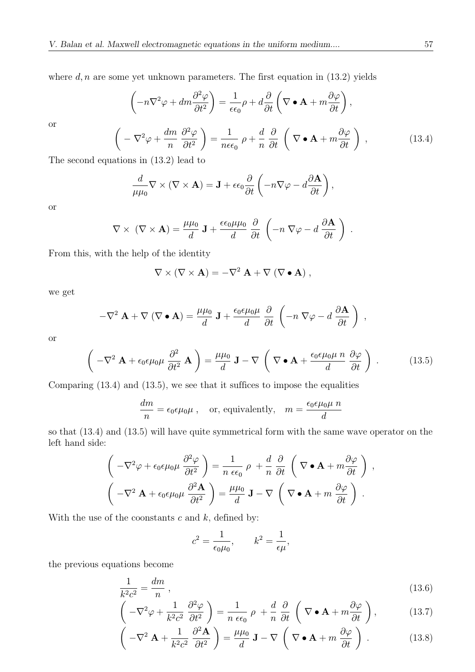where  $d, n$  are some yet unknown parameters. The first equation in (13.2) yields

$$
\left(-n\nabla^2 \varphi + dm \frac{\partial^2 \varphi}{\partial t^2}\right) = \frac{1}{\epsilon \epsilon_0} \rho + d \frac{\partial}{\partial t} \left(\nabla \bullet \mathbf{A} + m \frac{\partial \varphi}{\partial t}\right),
$$
  

$$
\left(-\nabla^2 \varphi + \frac{dm}{n} \frac{\partial^2 \varphi}{\partial t^2}\right) = \frac{1}{n\epsilon \epsilon_0} \rho + \frac{d}{n} \frac{\partial}{\partial t} \left(\nabla \bullet \mathbf{A} + m \frac{\partial \varphi}{\partial t}\right),
$$
(13.4)

The second equations in (13.2) lead to

$$
\frac{d}{\mu\mu_0}\nabla\times(\nabla\times\mathbf{A})=\mathbf{J}+\epsilon\epsilon_0\frac{\partial}{\partial t}\left(-n\nabla\varphi-d\frac{\partial\mathbf{A}}{\partial t}\right),\,
$$

or

or

$$
\nabla \times (\nabla \times \mathbf{A}) = \frac{\mu \mu_0}{d} \mathbf{J} + \frac{\epsilon \epsilon_0 \mu \mu_0}{d} \frac{\partial}{\partial t} \left( -n \nabla \varphi - d \frac{\partial \mathbf{A}}{\partial t} \right) .
$$

From this, with the help of the identity

$$
\nabla \times (\nabla \times \mathbf{A}) = -\nabla^2 \mathbf{A} + \nabla (\nabla \bullet \mathbf{A}),
$$

we get

$$
-\nabla^2 \mathbf{A} + \nabla (\nabla \bullet \mathbf{A}) = \frac{\mu \mu_0}{d} \mathbf{J} + \frac{\epsilon_0 \epsilon \mu_0 \mu}{d} \frac{\partial}{\partial t} \left( -n \nabla \varphi - d \frac{\partial \mathbf{A}}{\partial t} \right) ,
$$

or

$$
\left(-\nabla^2 \mathbf{A} + \epsilon_0 \epsilon \mu_0 \mu \frac{\partial^2}{\partial t^2} \mathbf{A}\right) = \frac{\mu \mu_0}{d} \mathbf{J} - \nabla \left(\nabla \bullet \mathbf{A} + \frac{\epsilon_0 \epsilon \mu_0 \mu \ n}{d} \frac{\partial \varphi}{\partial t}\right).
$$
 (13.5)

Comparing (13.4) and (13.5), we see that it suffices to impose the equalities

$$
\frac{dm}{n} = \epsilon_0 \epsilon \mu_0 \mu , \quad \text{or, equivalently,} \quad m = \frac{\epsilon_0 \epsilon \mu_0 \mu n}{d}
$$

so that (13.4) and (13.5) will have quite symmetrical form with the same wave operator on the left hand side:

$$
\left(-\nabla^2 \varphi + \epsilon_0 \epsilon \mu_0 \mu \frac{\partial^2 \varphi}{\partial t^2}\right) = \frac{1}{n \epsilon \epsilon_0} \rho + \frac{d}{n} \frac{\partial}{\partial t} \left(\nabla \bullet \mathbf{A} + m \frac{\partial \varphi}{\partial t}\right),
$$

$$
\left(-\nabla^2 \mathbf{A} + \epsilon_0 \epsilon \mu_0 \mu \frac{\partial^2 \mathbf{A}}{\partial t^2}\right) = \frac{\mu \mu_0}{d} \mathbf{J} - \nabla \left(\nabla \bullet \mathbf{A} + m \frac{\partial \varphi}{\partial t}\right).
$$

With the use of the coonstants  $c$  and  $k$ , defined by:

$$
c^2 = \frac{1}{\epsilon_0 \mu_0}, \qquad k^2 = \frac{1}{\epsilon \mu},
$$

the previous equations become

$$
\frac{1}{k^2c^2} = \frac{dm}{n},\tag{13.6}
$$

$$
\left(-\nabla^2 \varphi + \frac{1}{k^2 c^2} \frac{\partial^2 \varphi}{\partial t^2}\right) = \frac{1}{n \epsilon \epsilon_0} \rho + \frac{d}{n} \frac{\partial}{\partial t} \left(\nabla \bullet \mathbf{A} + m \frac{\partial \varphi}{\partial t}\right),\tag{13.7}
$$

$$
\left(-\nabla^2 \mathbf{A} + \frac{1}{k^2 c^2} \frac{\partial^2 \mathbf{A}}{\partial t^2}\right) = \frac{\mu \mu_0}{d} \mathbf{J} - \nabla \left(\nabla \bullet \mathbf{A} + m \frac{\partial \varphi}{\partial t}\right).
$$
 (13.8)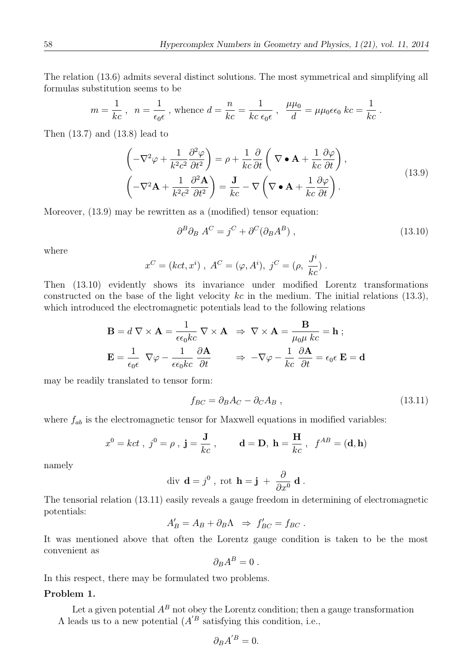The relation (13.6) admits several distinct solutions. The most symmetrical and simplifying all formulas substitution seems to be

$$
m = \frac{1}{kc}
$$
,  $n = \frac{1}{\epsilon_0 \epsilon}$ , whence  $d = \frac{n}{kc} = \frac{1}{kc \epsilon_0 \epsilon}$ ,  $\frac{\mu \mu_0}{d} = \mu \mu_0 \epsilon \epsilon_0$   $kc = \frac{1}{kc}$ .

Then (13.7) and (13.8) lead to

$$
\left(-\nabla^2 \varphi + \frac{1}{k^2 c^2} \frac{\partial^2 \varphi}{\partial t^2}\right) = \rho + \frac{1}{kc} \frac{\partial}{\partial t} \left(\nabla \bullet \mathbf{A} + \frac{1}{kc} \frac{\partial \varphi}{\partial t}\right),
$$
\n
$$
\left(-\nabla^2 \mathbf{A} + \frac{1}{k^2 c^2} \frac{\partial^2 \mathbf{A}}{\partial t^2}\right) = \frac{\mathbf{J}}{kc} - \nabla \left(\nabla \bullet \mathbf{A} + \frac{1}{kc} \frac{\partial \varphi}{\partial t}\right).
$$
\n(13.9)

Moreover, (13.9) may be rewritten as a (modified) tensor equation:

$$
\partial^B \partial_B A^C = j^C + \partial^C (\partial_B A^B) , \qquad (13.10)
$$

where

$$
x^C = (kct, x^i), A^C = (\varphi, A^i), j^C = (\rho, \frac{J^i}{kc}).
$$

Then (13.10) evidently shows its invariance under modified Lorentz transformations constructed on the base of the light velocity  $kc$  in the medium. The initial relations (13.3), which introduced the electromagnetic potentials lead to the following relations

$$
\mathbf{B} = d \nabla \times \mathbf{A} = \frac{1}{\epsilon \epsilon_0 kc} \nabla \times \mathbf{A} \implies \nabla \times \mathbf{A} = \frac{\mathbf{B}}{\mu_0 \mu kc} = \mathbf{h} ;
$$
\n
$$
\mathbf{E} = \frac{1}{\epsilon_0 \epsilon} \nabla \varphi - \frac{1}{\epsilon \epsilon_0 kc} \frac{\partial \mathbf{A}}{\partial t} \implies -\nabla \varphi - \frac{1}{kc} \frac{\partial \mathbf{A}}{\partial t} = \epsilon_0 \epsilon \mathbf{E} = \mathbf{d}
$$

may be readily translated to tensor form:

$$
f_{BC} = \partial_B A_C - \partial_C A_B , \qquad (13.11)
$$

where  $f_{ab}$  is the electromagnetic tensor for Maxwell equations in modified variables:

$$
x^0 = kct
$$
,  $j^0 = \rho$ ,  $\mathbf{j} = \frac{\mathbf{J}}{kc}$ ,  $\mathbf{d} = \mathbf{D}$ ,  $\mathbf{h} = \frac{\mathbf{H}}{kc}$ ,  $f^{AB} = (\mathbf{d}, \mathbf{h})$ 

namely

div 
$$
\mathbf{d} = j^0
$$
, rot  $\mathbf{h} = \mathbf{j} + \frac{\partial}{\partial x^0} \mathbf{d}$ .

The tensorial relation (13.11) easily reveals a gauge freedom in determining of electromagnetic potentials:

$$
A'_B = A_B + \partial_B \Lambda \Rightarrow f'_{BC} = f_{BC}.
$$

It was mentioned above that often the Lorentz gauge condition is taken to be the most convenient as

$$
\partial_B A^B = 0.
$$

In this respect, there may be formulated two problems.

#### Problem 1.

Let a given potential  $A^B$  not obey the Lorentz condition; then a gauge transformation  $\Lambda$  leads us to a new potential  $(A^{\prime B}$  satisfying this condition, i.e.,

$$
\partial_B A^{'B}=0.
$$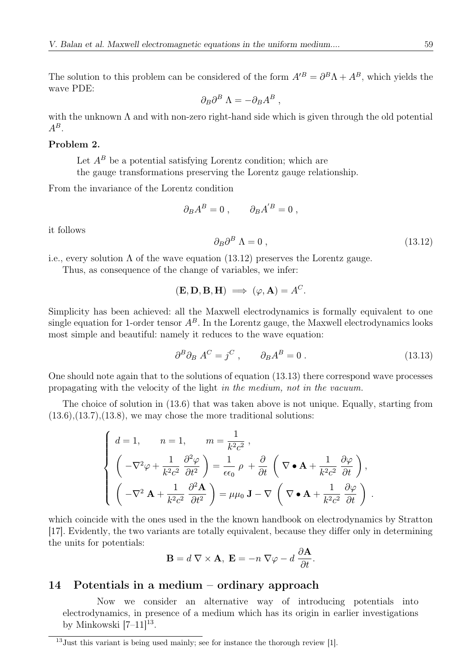The solution to this problem can be considered of the form  $A^{B} = \partial^{B} \Lambda + A^{B}$ , which yields the wave PDE:

$$
\partial_B \partial^B \Lambda = -\partial_B A^B \ ,
$$

with the unknown  $\Lambda$  and with non-zero right-hand side which is given through the old potential  $A^B$ 

#### Problem 2.

Let  $A^B$  be a potential satisfying Lorentz condition; which are the gauge transformations preserving the Lorentz gauge relationship.

From the invariance of the Lorentz condition

$$
\partial_B A^B = 0 \; , \qquad \partial_B A^{'B} = 0 \; ,
$$

it follows

$$
\partial_B \partial^B \Lambda = 0 \,, \tag{13.12}
$$

i.e., every solution  $\Lambda$  of the wave equation (13.12) preserves the Lorentz gauge.

Thus, as consequence of the change of variables, we infer:

$$
(\mathbf{E}, \mathbf{D}, \mathbf{B}, \mathbf{H}) \implies (\varphi, \mathbf{A}) = A^C.
$$

Simplicity has been achieved: all the Maxwell electrodynamics is formally equivalent to one single equation for 1-order tensor  $A^B$ . In the Lorentz gauge, the Maxwell electrodynamics looks most simple and beautiful: namely it reduces to the wave equation:

$$
\partial^B \partial_B A^C = j^C , \qquad \partial_B A^B = 0 . \tag{13.13}
$$

One should note again that to the solutions of equation (13.13) there correspond wave processes propagating with the velocity of the light in the medium, not in the vacuum.

The choice of solution in (13.6) that was taken above is not unique. Equally, starting from  $(13.6), (13.7), (13.8),$  we may chose the more traditional solutions:

$$
\begin{cases}\nd = 1, & n = 1, \n\pi = \frac{1}{k^2 c^2}, \\
\left(-\nabla^2 \varphi + \frac{1}{k^2 c^2} \frac{\partial^2 \varphi}{\partial t^2}\right) = \frac{1}{\epsilon \epsilon_0} \rho + \frac{\partial}{\partial t} \left(\nabla \bullet \mathbf{A} + \frac{1}{k^2 c^2} \frac{\partial \varphi}{\partial t}\right), \\
\left(-\nabla^2 \mathbf{A} + \frac{1}{k^2 c^2} \frac{\partial^2 \mathbf{A}}{\partial t^2}\right) = \mu \mu_0 \mathbf{J} - \nabla \left(\nabla \bullet \mathbf{A} + \frac{1}{k^2 c^2} \frac{\partial \varphi}{\partial t}\right).\n\end{cases}
$$

which coincide with the ones used in the the known handbook on electrodynamics by Stratton [17]. Evidently, the two variants are totally equivalent, because they differ only in determining the units for potentials:

$$
\mathbf{B} = d \nabla \times \mathbf{A}, \ \mathbf{E} = -n \nabla \varphi - d \frac{\partial \mathbf{A}}{\partial t}.
$$

### 14 Potentials in a medium – ordinary approach

Now we consider an alternative way of introducing potentials into electrodynamics, in presence of a medium which has its origin in earlier investigations by Minkowski  $[7-11]^{13}$ .

<sup>13</sup>Just this variant is being used mainly; see for instance the thorough review [1].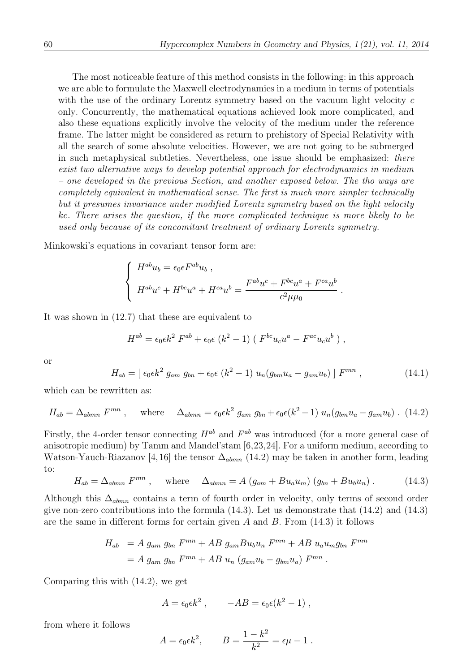The most noticeable feature of this method consists in the following: in this approach we are able to formulate the Maxwell electrodynamics in a medium in terms of potentials with the use of the ordinary Lorentz symmetry based on the vacuum light velocity c only. Concurrently, the mathematical equations achieved look more complicated, and also these equations explicitly involve the velocity of the medium under the reference frame. The latter might be considered as return to prehistory of Special Relativity with all the search of some absolute velocities. However, we are not going to be submerged in such metaphysical subtleties. Nevertheless, one issue should be emphasized: there exist two alternative ways to develop potential approach for electrodynamics in medium – one developed in the previous Section, and another exposed below. The tho ways are completely equivalent in mathematical sense. The first is much more simpler technically but it presumes invariance under modified Lorentz symmetry based on the light velocity kc. There arises the question, if the more complicated technique is more likely to be used only because of its concomitant treatment of ordinary Lorentz symmetry.

Minkowski's equations in covariant tensor form are:

$$
\begin{cases}\nH^{ab}u_b = \epsilon_0 \epsilon F^{ab}u_b, \\
H^{ab}u^c + H^{bc}u^a + H^{ca}u^b = \frac{F^{ab}u^c + F^{bc}u^a + F^{ca}u^b}{c^2 \mu \mu_0}.\n\end{cases}
$$

It was shown in (12.7) that these are equivalent to

$$
H^{ab} = \epsilon_0 \epsilon k^2 F^{ab} + \epsilon_0 \epsilon (k^2 - 1) (F^{bc} u_c u^a - F^{ac} u_c u^b),
$$

or

$$
H_{ab} = [ \epsilon_0 \epsilon k^2 \ g_{am} \ g_{bn} + \epsilon_0 \epsilon \ (k^2 - 1) \ u_n (g_{bm} u_a - g_{am} u_b) ] F^{mn} , \qquad (14.1)
$$

which can be rewritten as:

$$
H_{ab} = \Delta_{abmn} F^{mn} , \quad \text{where} \quad \Delta_{abmn} = \epsilon_0 \epsilon k^2 g_{am} g_{bn} + \epsilon_0 \epsilon (k^2 - 1) u_n (g_{bm} u_a - g_{am} u_b) . \tag{14.2}
$$

Firstly, the 4-order tensor connecting  $H^{ab}$  and  $F^{ab}$  was introduced (for a more general case of anisotropic medium) by Tamm and Mandel'stam [6,23,24]. For a uniform medium, according to Watson-Yauch-Riazanov [4,16] the tensor  $\Delta_{abmn}$  (14.2) may be taken in another form, leading to:

$$
H_{ab} = \Delta_{abmn} F^{mn} , \quad \text{where} \quad \Delta_{abmn} = A \left( g_{am} + B u_a u_m \right) \left( g_{bn} + B u_b u_n \right) . \tag{14.3}
$$

Although this  $\Delta_{abmn}$  contains a term of fourth order in velocity, only terms of second order give non-zero contributions into the formula (14.3). Let us demonstrate that (14.2) and (14.3) are the same in different forms for certain given A and B. From  $(14.3)$  it follows

$$
H_{ab} = A g_{am} g_{bn} F^{mn} + AB g_{am} B u_b u_n F^{mn} + AB u_a u_m g_{bn} F^{mn}
$$
  
=  $A g_{am} g_{bn} F^{mn} + AB u_n (g_{am} u_b - g_{bm} u_a) F^{mn}$ .

Comparing this with (14.2), we get

$$
A = \epsilon_0 \epsilon k^2 , \qquad -AB = \epsilon_0 \epsilon (k^2 - 1) ,
$$

from where it follows

$$
A = \epsilon_0 \epsilon k^2, \qquad B = \frac{1 - k^2}{k^2} = \epsilon \mu - 1.
$$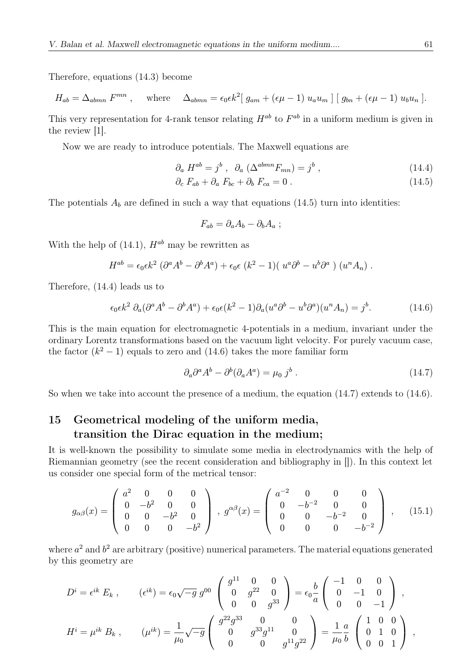Therefore, equations (14.3) become

$$
H_{ab} = \Delta_{abmn} F^{mn} , \quad \text{where} \quad \Delta_{abmn} = \epsilon_0 \epsilon k^2 [g_{am} + (\epsilon \mu - 1) u_a u_m] [g_{bn} + (\epsilon \mu - 1) u_b u_n].
$$

This very representation for 4-rank tensor relating  $H^{ab}$  to  $F^{ab}$  in a uniform medium is given in the review [1].

Now we are ready to introduce potentials. The Maxwell equations are

$$
\partial_a H^{ab} = j^b , \partial_a (\Delta^{abmn} F_{mn}) = j^b , \qquad (14.4)
$$

$$
\partial_c F_{ab} + \partial_a F_{bc} + \partial_b F_{ca} = 0. \qquad (14.5)
$$

The potentials  $A_b$  are defined in such a way that equations (14.5) turn into identities:

$$
F_{ab} = \partial_a A_b - \partial_b A_a ;
$$

With the help of  $(14.1)$ ,  $H^{ab}$  may be rewritten as

$$
H^{ab} = \epsilon_0 \epsilon k^2 \left( \partial^a A^b - \partial^b A^a \right) + \epsilon_0 \epsilon \left( k^2 - 1 \right) \left( u^a \partial^b - u^b \partial^a \right) \left( u^n A_n \right).
$$

Therefore, (14.4) leads us to

$$
\epsilon_0 \epsilon k^2 \partial_a (\partial^a A^b - \partial^b A^a) + \epsilon_0 \epsilon (k^2 - 1) \partial_a (u^a \partial^b - u^b \partial^a) (u^n A_n) = j^b. \tag{14.6}
$$

This is the main equation for electromagnetic 4-potentials in a medium, invariant under the ordinary Lorentz transformations based on the vacuum light velocity. For purely vacuum case, the factor  $(k^2 - 1)$  equals to zero and (14.6) takes the more familiar form

$$
\partial_a \partial^a A^b - \partial^b (\partial_a A^a) = \mu_0 j^b . \qquad (14.7)
$$

So when we take into account the presence of a medium, the equation (14.7) extends to (14.6).

### 15 Geometrical modeling of the uniform media, transition the Dirac equation in the medium;

It is well-known the possibility to simulate some media in electrodynamics with the help of Riemannian geometry (see the recent consideration and bibliography in []). In this context let us consider one special form of the metrical tensor:

$$
g_{\alpha\beta}(x) = \begin{pmatrix} a^2 & 0 & 0 & 0 \ 0 & -b^2 & 0 & 0 \ 0 & 0 & -b^2 & 0 \ 0 & 0 & 0 & -b^2 \end{pmatrix}, g^{\alpha\beta}(x) = \begin{pmatrix} a^{-2} & 0 & 0 & 0 \ 0 & -b^{-2} & 0 & 0 \ 0 & 0 & -b^{-2} & 0 \ 0 & 0 & 0 & -b^{-2} \end{pmatrix}, \quad (15.1)
$$

where  $a^2$  and  $b^2$  are arbitrary (positive) numerical parameters. The material equations generated by this geometry are

$$
D^{i} = \epsilon^{ik} E_{k} , \qquad (\epsilon^{ik}) = \epsilon_{0} \sqrt{-g} g^{00} \begin{pmatrix} g^{11} & 0 & 0 \\ 0 & g^{22} & 0 \\ 0 & 0 & g^{33} \end{pmatrix} = \epsilon_{0} \frac{b}{a} \begin{pmatrix} -1 & 0 & 0 \\ 0 & -1 & 0 \\ 0 & 0 & -1 \end{pmatrix} ,
$$
  

$$
H^{i} = \mu^{ik} B_{k} , \qquad (\mu^{ik}) = \frac{1}{\mu_{0}} \sqrt{-g} \begin{pmatrix} g^{22} g^{33} & 0 & 0 \\ 0 & g^{33} g^{11} & 0 \\ 0 & 0 & g^{11} g^{22} \end{pmatrix} = \frac{1}{\mu_{0}} \frac{a}{b} \begin{pmatrix} 1 & 0 & 0 \\ 0 & 1 & 0 \\ 0 & 0 & 1 \end{pmatrix} ,
$$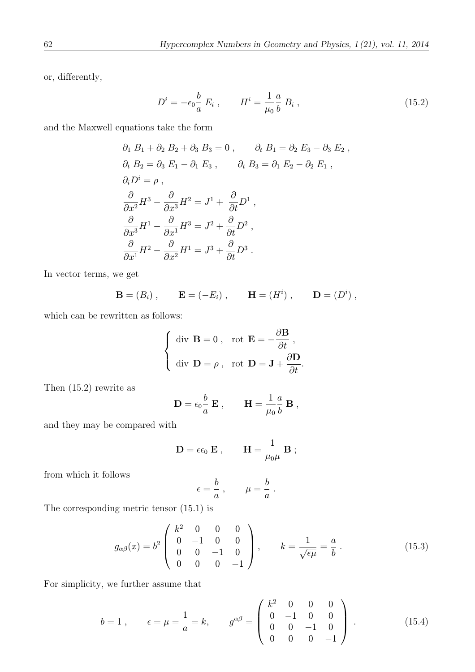or, differently,

$$
D^{i} = -\epsilon_{0} \frac{b}{a} E_{i} , \qquad H^{i} = \frac{1}{\mu_{0}} \frac{a}{b} B_{i} , \qquad (15.2)
$$

and the Maxwell equations take the form

$$
\partial_1 B_1 + \partial_2 B_2 + \partial_3 B_3 = 0 , \qquad \partial_t B_1 = \partial_2 E_3 - \partial_3 E_2 ,
$$
  
\n
$$
\partial_t B_2 = \partial_3 E_1 - \partial_1 E_3 , \qquad \partial_t B_3 = \partial_1 E_2 - \partial_2 E_1 ,
$$
  
\n
$$
\partial_i D^i = \rho ,
$$
  
\n
$$
\frac{\partial}{\partial x^2} H^3 - \frac{\partial}{\partial x^3} H^2 = J^1 + \frac{\partial}{\partial t} D^1 ,
$$
  
\n
$$
\frac{\partial}{\partial x^3} H^1 - \frac{\partial}{\partial x^1} H^3 = J^2 + \frac{\partial}{\partial t} D^2 ,
$$
  
\n
$$
\frac{\partial}{\partial x^1} H^2 - \frac{\partial}{\partial x^2} H^1 = J^3 + \frac{\partial}{\partial t} D^3 .
$$

In vector terms, we get

**B** = 
$$
(B_i)
$$
, **E** =  $(-E_i)$ , **H** =  $(H^i)$ , **D** =  $(D^i)$ ,

which can be rewritten as follows:

$$
\begin{cases} \text{ div } \mathbf{B} = 0 \,, & \text{rot } \mathbf{E} = -\frac{\partial \mathbf{B}}{\partial t} \,, \\ \text{div } \mathbf{D} = \rho \,, & \text{rot } \mathbf{D} = \mathbf{J} + \frac{\partial \mathbf{D}}{\partial t} . \end{cases}
$$

Then (15.2) rewrite as

$$
\mathbf{D} = \epsilon_0 \frac{b}{a} \; \mathbf{E} \; , \qquad \mathbf{H} = \frac{1}{\mu_0} \frac{a}{b} \; \mathbf{B} \; ,
$$

and they may be compared with

$$
\mathbf{D} = \epsilon \epsilon_0 \; \mathbf{E} \; , \qquad \mathbf{H} = \frac{1}{\mu_0 \mu} \; \mathbf{B} \; ;
$$

from which it follows

$$
= \frac{b}{a} , \qquad \mu = \frac{b}{a} .
$$

 $\epsilon$ 

The corresponding metric tensor (15.1) is

$$
g_{\alpha\beta}(x) = b^2 \begin{pmatrix} k^2 & 0 & 0 & 0 \\ 0 & -1 & 0 & 0 \\ 0 & 0 & -1 & 0 \\ 0 & 0 & 0 & -1 \end{pmatrix}, \qquad k = \frac{1}{\sqrt{\epsilon\mu}} = \frac{a}{b}.
$$
 (15.3)

For simplicity, we further assume that

$$
b = 1, \qquad \epsilon = \mu = \frac{1}{a} = k, \qquad g^{\alpha\beta} = \begin{pmatrix} k^2 & 0 & 0 & 0 \\ 0 & -1 & 0 & 0 \\ 0 & 0 & -1 & 0 \\ 0 & 0 & 0 & -1 \end{pmatrix} . \tag{15.4}
$$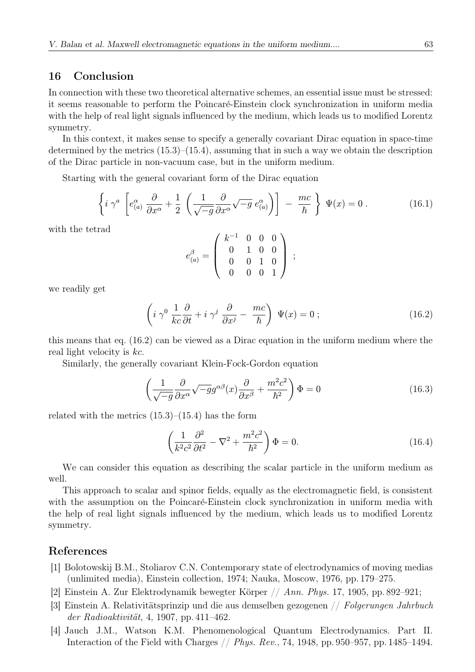### 16 Conclusion

In connection with these two theoretical alternative schemes, an essential issue must be stressed: it seems reasonable to perform the Poincaré-Einstein clock synchronization in uniform media with the help of real light signals influenced by the medium, which leads us to modified Lorentz symmetry.

In this context, it makes sense to specify a generally covariant Dirac equation in space-time determined by the metrics  $(15.3)$ – $(15.4)$ , assuming that in such a way we obtain the description of the Dirac particle in non-vacuum case, but in the uniform medium.

Starting with the general covariant form of the Dirac equation

$$
\left\{ i \gamma^a \left[ e^{\alpha}_{(a)} \frac{\partial}{\partial x^{\alpha}} + \frac{1}{2} \left( \frac{1}{\sqrt{-g}} \frac{\partial}{\partial x^{\alpha}} \sqrt{-g} \ e^{\alpha}_{(a)} \right) \right] - \frac{mc}{\hbar} \right\} \Psi(x) = 0 \ . \tag{16.1}
$$

with the tetrad

$$
e_{(a)}^\beta=\left(\begin{array}{cccc} k^{-1} & 0 & 0 & 0 \\ 0 & 1 & 0 & 0 \\ 0 & 0 & 1 & 0 \\ 0 & 0 & 0 & 1 \end{array}\right)\ ;
$$

we readily get

$$
\left(i\,\gamma^0\,\frac{1}{kc}\frac{\partial}{\partial t} + i\,\gamma^j\,\frac{\partial}{\partial x^j} - \frac{mc}{\hbar}\right)\,\Psi(x) = 0\;;\tag{16.2}
$$

this means that eq. (16.2) can be viewed as a Dirac equation in the uniform medium where the real light velocity is kc.

Similarly, the generally covariant Klein-Fock-Gordon equation

$$
\left(\frac{1}{\sqrt{-g}}\frac{\partial}{\partial x^{\alpha}}\sqrt{-g}g^{\alpha\beta}(x)\frac{\partial}{\partial x^{\beta}} + \frac{m^{2}c^{2}}{\hbar^{2}}\right)\Phi = 0
$$
\n(16.3)

related with the metrics  $(15.3)$ – $(15.4)$  has the form

$$
\left(\frac{1}{k^2c^2}\frac{\partial^2}{\partial t^2} - \nabla^2 + \frac{m^2c^2}{\hbar^2}\right)\Phi = 0.
$$
\n(16.4)

We can consider this equation as describing the scalar particle in the uniform medium as well.

This approach to scalar and spinor fields, equally as the electromagnetic field, is consistent with the assumption on the Poincaré-Einstein clock synchronization in uniform media with the help of real light signals influenced by the medium, which leads us to modified Lorentz symmetry.

#### References

- [1] Bolotowskij B.M., Stoliarov C.N. Contemporary state of electrodynamics of moving medias (unlimited media), Einstein collection, 1974; Nauka, Moscow, 1976, pp. 179–275.
- [2] Einstein A. Zur Elektrodynamik bewegter Körper  $// Ann. Phys. 17, 1905, pp. 892–921;$
- [3] Einstein A. Relativitätsprinzip und die aus demselben gezogenen // Folgerungen Jahrbuch der Radioaktivität, 4, 1907, pp. 411–462.
- [4] Jauch J.M., Watson K.M. Phenomenological Quantum Electrodynamics. Part II. Interaction of the Field with Charges // Phys. Rev., 74, 1948, pp. 950–957, pp. 1485–1494.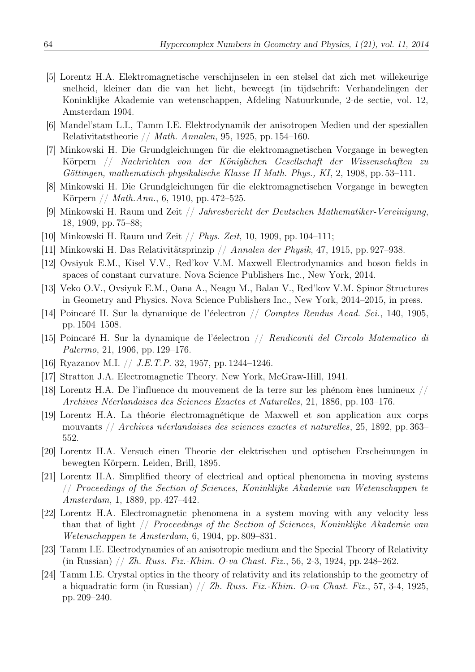- [5] Lorentz H.A. Elektromagnetische verschijnselen in een stelsel dat zich met willekeurige snelheid, kleiner dan die van het licht, beweegt (in tijdschrift: Verhandelingen der Koninklijke Akademie van wetenschappen, Afdeling Natuurkunde, 2-de sectie, vol. 12, Amsterdam 1904.
- [6] Mandel'stam L.I., Tamm I.E. Elektrodynamik der anisotropen Medien und der speziallen Relativitatstheorie // Math. Annalen, 95, 1925, pp. 154–160.
- [7] Minkowski H. Die Grundgleichungen für die elektromagnetischen Vorgange in bewegten Körpern // Nachrichten von der Königlichen Gesellschaft der Wissenschaften zu Göttingen, mathematisch-physikalische Klasse II Math. Phys., KI, 2, 1908, pp. 53–111.
- [8] Minkowski H. Die Grundgleichungen für die elektromagnetischen Vorgange in bewegten Körpern // *Math.Ann.*, 6, 1910, pp. 472–525.
- [9] Minkowski H. Raum und Zeit // Jahresbericht der Deutschen Mathematiker-Vereinigung, 18, 1909, pp. 75–88;
- [10] Minkowski H. Raum und Zeit // Phys. Zeit, 10, 1909, pp. 104–111;
- [11] Minkowski H. Das Relativitätsprinzip  $//$  Annalen der Physik, 47, 1915, pp. 927–938.
- [12] Ovsiyuk E.M., Kisel V.V., Red'kov V.M. Maxwell Electrodynamics and boson fields in spaces of constant curvature. Nova Science Publishers Inc., New York, 2014.
- [13] Veko O.V., Ovsiyuk E.M., Oana A., Neagu M., Balan V., Red'kov V.M. Spinor Structures in Geometry and Physics. Nova Science Publishers Inc., New York, 2014–2015, in press.
- [14] Poincaré H. Sur la dynamique de l'éelectron  $//$  Comptes Rendus Acad. Sci., 140, 1905, pp. 1504–1508.
- [15] Poincaré H. Sur la dynamique de l'éelectron // Rendiconti del Circolo Matematico di Palermo, 21, 1906, pp. 129–176.
- [16] Ryazanov M.I. // J.E.T.P. 32, 1957, pp. 1244–1246.
- [17] Stratton J.A. Electromagnetic Theory. New York, McGraw-Hill, 1941.
- [18] Lorentz H.A. De l'influence du mouvement de la terre sur les phénom ènes lumineux // Archives N´eerlandaises des Sciences Exactes et Naturelles, 21, 1886, pp. 103–176.
- [19] Lorentz H.A. La théorie électromagnétique de Maxwell et son application aux corps mouvants // Archives néerlandaises des sciences exactes et naturelles, 25, 1892, pp. 363– 552.
- [20] Lorentz H.A. Versuch einen Theorie der elektrischen und optischen Erscheinungen in bewegten Körpern. Leiden, Brill, 1895.
- [21] Lorentz H.A. Simplified theory of electrical and optical phenomena in moving systems // Proceedings of the Section of Sciences, Koninklijke Akademie van Wetenschappen te Amsterdam, 1, 1889, pp. 427–442.
- [22] Lorentz H.A. Electromagnetic phenomena in a system moving with any velocity less than that of light // Proceedings of the Section of Sciences, Koninklijke Akademie van Wetenschappen te Amsterdam, 6, 1904, pp. 809–831.
- [23] Tamm I.E. Electrodynamics of an anisotropic medium and the Special Theory of Relativity (in Russian) // Zh. Russ. Fiz.-Khim. O-va Chast. Fiz., 56, 2-3, 1924, pp. 248–262.
- [24] Tamm I.E. Crystal optics in the theory of relativity and its relationship to the geometry of a biquadratic form (in Russian)  $//$  Zh. Russ. Fiz.-Khim. O-va Chast. Fiz., 57, 3-4, 1925, pp. 209–240.